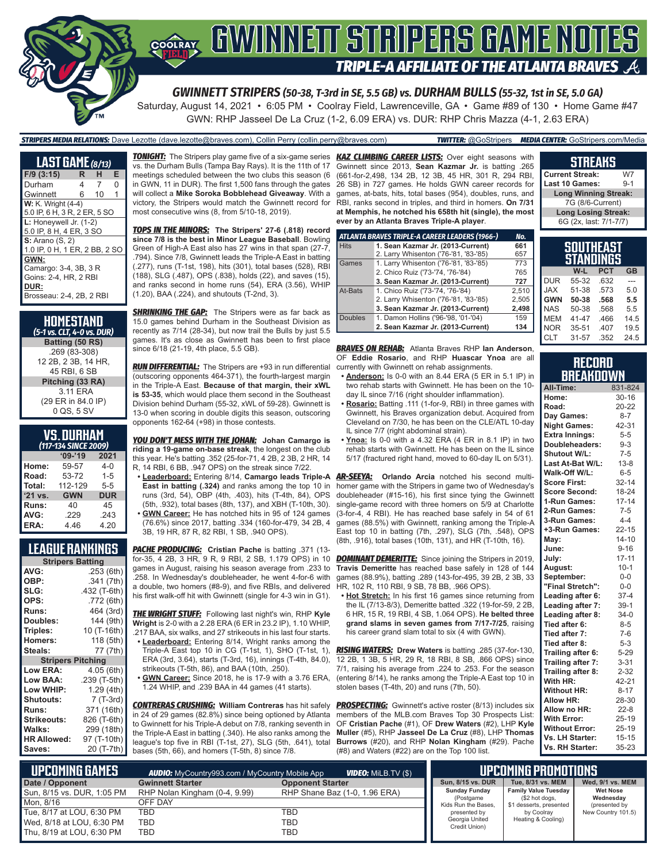

*GWINNETT STRIPERS (50-38, T-3rd in SE, 5.5 GB) vs. DURHAM BULLS (55-32, 1st in SE, 5.0 GA)*

Saturday, August 14, 2021 • 6:05 PM • Coolray Field, Lawrenceville, GA • Game #89 of 130 • Home Game #47 GWN: RHP Jasseel De La Cruz (1-2, 6.09 ERA) vs. DUR: RHP Chris Mazza (4-1, 2.63 ERA)

#### *STRIPERS MEDIA RELATIONS:* Dave Lezotte (dave.lezotte@braves.com), Collin Perry (collin.perry@braves.com) *TWITTER:* @GoStripers *MEDIA CENTER:* GoStripers.com/Media

| LAST GAME (8/13)              |   |    |   |
|-------------------------------|---|----|---|
| $F/9$ (3:15)                  | R | н  | Е |
| Durham                        | 4 | 7  | O |
| Gwinnett                      | 6 | 10 | 1 |
| <b>W:</b> K. Wright (4-4)     |   |    |   |
| 5.0 IP, 6 H, 3 R, 2 ER, 5 SO  |   |    |   |
| L: Honeywell Jr. (1-2)        |   |    |   |
| 5.0 IP, 8 H, 4 ER, 3 SO       |   |    |   |
| S: Arano(S, 2)                |   |    |   |
| 1.0 IP, 0 H, 1 ER, 2 BB, 2 SO |   |    |   |
| GWN:                          |   |    |   |
| Camargo: 3-4, 3B, 3 R         |   |    |   |
| Goins: 2-4, HR, 2 RBI         |   |    |   |
| DUR:                          |   |    |   |
| Brosseau: 2-4, 2B, 2 RBI      |   |    |   |

| <b>HOMESTAND</b><br>(5-1 vs. CLT, 4-0 vs. DUR) |
|------------------------------------------------|
| Batting (50 RS)                                |
| .269 (83-308)                                  |
| 12 2B, 2 3B, 14 HR,                            |
| 45 RBI, 6 SB                                   |
| Pitching (33 RA)                               |
| 3.11 ERA                                       |
| (29 ER in 84.0 IP)                             |
| 0 QS, 5 SV                                     |

#### **VS. DURHAM**

| (117-134 SINCE 2009) |            |            |  |  |  |  |  |
|----------------------|------------|------------|--|--|--|--|--|
| $09 - 19$<br>2021    |            |            |  |  |  |  |  |
| Home:                | 59-57      | $4 - 0$    |  |  |  |  |  |
| Road:                | 53-72      | $1 - 5$    |  |  |  |  |  |
| Total:               | 112-129    | $5 - 5$    |  |  |  |  |  |
| $'21$ vs.            | <b>GWN</b> | <b>DUR</b> |  |  |  |  |  |
| Runs:                | 40         | 45         |  |  |  |  |  |
| AVG:                 | .229       | .243       |  |  |  |  |  |
| ERA:                 | 4.46       | 4.20       |  |  |  |  |  |

#### **LEAGUE RANKINGS**

| <b>Stripers Batting</b>  |              |  |  |  |
|--------------------------|--------------|--|--|--|
| AVG:                     | .253 (6th)   |  |  |  |
| OBP:                     | .341 (7th)   |  |  |  |
| SLG:                     | .432 (T-6th) |  |  |  |
| OPS:                     | .772 (6th)   |  |  |  |
| <b>Runs:</b>             | 464 (3rd)    |  |  |  |
| Doubles:                 | 144 (9th)    |  |  |  |
| Triples:                 | 10 (T-16th)  |  |  |  |
| <b>Homers:</b>           | 118 (5th)    |  |  |  |
| Steals:                  | 77 (7th)     |  |  |  |
| <b>Stripers Pitching</b> |              |  |  |  |
| <b>Low ERA:</b>          | 4.05 (6th)   |  |  |  |
| <b>Low BAA:</b>          | .239 (T-5th) |  |  |  |
| Low WHIP:                | 1.29(4th)    |  |  |  |
| Shutouts:                | 7 (T-3rd)    |  |  |  |
| <b>Runs:</b>             | 371 (16th)   |  |  |  |
| <b>Strikeouts:</b>       | 826 (T-6th)  |  |  |  |
| Walks:                   | 299 (18th)   |  |  |  |
| <b>HR Allowed:</b>       | 97 (T-10th)  |  |  |  |
| Saves:                   | 20 (T-7th)   |  |  |  |

vs. the Durham Bulls (Tampa Bay Rays). It is the 11th of 17 meetings scheduled between the two clubs this season (6 in GWN, 11 in DUR). The first 1,500 fans through the gates will collect a **Mike Soroka Bobblehead Giveaway**. With a victory, the Stripers would match the Gwinnett record for most consecutive wins (8, from 5/10-18, 2019).

*TOPS IN THE MINORS:* **The Stripers' 27-6 (.818) record since 7/8 is the best in Minor League Baseball**. Bowling Green of High-A East also has 27 wins in that span (27-7, .794). Since 7/8, Gwinnett leads the Triple-A East in batting (.277), runs (T-1st, 198), hits (301), total bases (528), RBI (188), SLG (.487), OPS (.838), holds (22), and saves (15), and ranks second in home runs (54), ERA (3.56), WHIP (1.20), BAA (.224), and shutouts (T-2nd, 3).

**SHRINKING THE GAP:** The Stripers were as far back as 15.0 games behind Durham in the Southeast Division as recently as 7/14 (28-34), but now trail the Bulls by just 5.5 games. It's as close as Gwinnett has been to first place since 6/18 (21-19, 4th place, 5.5 GB).

*RUN DIFFERENTIAL:* The Stripers are +93 in run differential (outscoring opponents 464-371), the fourth-largest margin in the Triple-A East. **Because of that margin, their xWL is 53-35**, which would place them second in the Southeast Division behind Durham (55-32, xWL of 59-28). Gwinnett is 13-0 when scoring in double digits this season, outscoring opponents 162-64 (+98) in those contests.

*YOU DON'T MESS WITH THE JOHAN:* **Johan Camargo is riding a 19-game on-base streak**, the longest on the club this year. He's batting .352 (25-for-71, 4 2B, 2 3B, 2 HR, 14 R, 14 RBI, 6 BB, .947 OPS) on the streak since 7/22.

**• Leaderboard:** Entering 8/14, **Camargo leads Triple-A East in batting (.324)** and ranks among the top 10 in runs (3rd, 54), OBP (4th, .403), hits (T-4th, 84), OPS (5th, .932), total bases (8th, 137), and XBH (T-10th, 30). **• GWN Career:** He has notched hits in 95 of 124 games (76.6%) since 2017, batting .334 (160-for-479, 34 2B, 4 3B, 19 HR, 87 R, 82 RBI, 1 SB, .940 OPS).

*PACHE PRODUCING:* **Cristian Pache** is batting .371 (13 for-35, 4 2B, 3 HR, 9 R, 9 RBI, 2 SB, 1.179 OPS) in 10 games in August, raising his season average from .233 to .258. In Wednesday's doubleheader, he went 4-for-6 with a double, two homers (#8-9), and five RBIs, and delivered his first walk-off hit with Gwinnett (single for 4-3 win in G1).

*THE WRIGHT STUFF:* Following last night's win, RHP **Kyle Wright** is 2-0 with a 2.28 ERA (6 ER in 23.2 IP), 1.10 WHIP, .217 BAA, six walks, and 27 strikeouts in his last four starts.

- **• Leaderboard:** Entering 8/14, Wright ranks among the Triple-A East top 10 in CG (T-1st, 1), SHO (T-1st, 1), ERA (3rd, 3.64), starts (T-3rd, 16), innings (T-4th, 84.0), strikeouts (T-5th, 86), and BAA (10th, .250).
- **• GWN Career:** Since 2018, he is 17-9 with a 3.76 ERA, 1.24 WHIP, and .239 BAA in 44 games (41 starts).

*CONTRERAS CRUSHING:* **William Contreras** has hit safely in 24 of 29 games (82.8%) since being optioned by Atlanta to Gwinnett for his Triple-A debut on 7/8, ranking seventh in the Triple-A East in batting (.340). He also ranks among the league's top five in RBI (T-1st, 27), SLG (5th, .641), total bases (5th, 66), and homers (T-5th, 8) since 7/8.

*TONIGHT:* The Stripers play game five of a six-game series *KAZ CLIMBING CAREER LISTS:* Over eight seasons with Gwinnett since 2013, **Sean Kazmar Jr.** is batting .265 (661-for-2,498, 134 2B, 12 3B, 45 HR, 301 R, 294 RBI, 26 SB) in 727 games. He holds GWN career records for games, at-bats, hits, total bases (954), doubles, runs, and RBI, ranks second in triples, and third in homers. **On 7/31 at Memphis, he notched his 658th hit (single), the most ever by an Atlanta Braves Triple-A player**.

|                | ATLANTA BRAVES TRIPLE-A CAREER LEADERS (1966-) | No.   |
|----------------|------------------------------------------------|-------|
| <b>Hits</b>    | 1. Sean Kazmar Jr. (2013-Current)              | 661   |
|                | 2. Larry Whisenton ('76-'81, '83-'85)          | 657   |
| Games          | 1. Larry Whisenton ('76-'81, '83-'85)          | 773   |
|                | 2. Chico Ruiz ('73-'74, '76-'84)               | 765   |
|                | 3. Sean Kazmar Jr. (2013-Current)              | 727   |
| At-Bats        | 1. Chico Ruiz ('73-'74, '76-'84)               | 2.510 |
|                | 2. Larry Whisenton ('76-'81, '83-'85)          | 2.505 |
|                | 3. Sean Kazmar Jr. (2013-Current)              | 2,498 |
| <b>Doubles</b> | 1. Damon Hollins ('96-'98, '01-'04)            | 159   |
|                | 2. Sean Kazmar Jr. (2013-Current)              | 134   |

*BRAVES ON REHAB:* Atlanta Braves RHP **Ian Anderson**, OF **Eddie Rosario**, and RHP **Huascar Ynoa** are all currently with Gwinnett on rehab assignments.

- **• Anderson:** Is 0-0 with an 8.44 ERA (5 ER in 5.1 IP) in two rehab starts with Gwinnett. He has been on the 10 day IL since 7/16 (right shoulder inflammation).
- **• Rosario:** Batting .111 (1-for-9, RBI) in three games with Gwinnett, his Braves organization debut. Acquired from Cleveland on 7/30, he has been on the CLE/ATL 10-day IL since 7/7 (right abdominal strain).
- **• Ynoa:** Is 0-0 with a 4.32 ERA (4 ER in 8.1 IP) in two rehab starts with Gwinnett. He has been on the IL since 5/17 (fractured right hand, moved to 60-day IL on 5/31).

*AR-SEEYA:* **Orlando Arcia** notched his second multihomer game with the Stripers in game two of Wednesday's doubleheader (#15-16), his first since tying the Gwinnett single-game record with three homers on 5/9 at Charlotte (3-for-4, 4 RBI). He has reached base safely in 54 of 61 games (88.5%) with Gwinnett, ranking among the Triple-A East top 10 in batting (7th, .297), SLG (7th, .548), OPS (8th, .916), total bases (10th, 131), and HR (T-10th, 16).

**DOMINANT DEMERITTE:** Since joining the Stripers in 2019, **Travis Demeritte** has reached base safely in 128 of 144 games (88.9%), batting .289 (143-for-495, 39 2B, 2 3B, 33 HR, 102 R, 110 RBI, 9 SB, 78 BB, .966 OPS).

**• Hot Stretch:** In his first 16 games since returning from the IL (7/13-8/3), Demeritte batted .322 (19-for-59, 2 2B, 6 HR, 15 R, 19 RBI, 4 SB, 1.064 OPS). **He belted three grand slams in seven games from 7/17-7/25**, raising his career grand slam total to six (4 with GWN).

*RISING WATERS:* **Drew Waters** is batting .285 (37-for-130, 12 2B, 1 3B, 5 HR, 29 R, 18 RBI, 8 SB, .866 OPS) since 7/1, raising his average from .224 to .253. For the season (entering 8/14), he ranks among the Triple-A East top 10 in stolen bases (T-4th, 20) and runs (7th, 50).

**PROSPECTING:** Gwinnett's active roster (8/13) includes six members of the MLB.com Braves Top 30 Prospects List: OF **Cristian Pache** (#1), OF **Drew Waters** (#2), LHP **Kyle Muller** (#5), RHP **Jasseel De La Cruz** (#8), LHP **Thomas Burrows** (#20), and RHP **Nolan Kingham** (#29). Pache (#8) and Waters (#22) are on the Top 100 list.

| <b>STREAKS</b>              |         |  |  |  |
|-----------------------------|---------|--|--|--|
| <b>Current Streak:</b>      | W7      |  |  |  |
| Last 10 Games:              | $9 - 1$ |  |  |  |
| <b>Long Winning Streak:</b> |         |  |  |  |
| 7G (8/6-Current)            |         |  |  |  |
| <b>Long Losing Streak:</b>  |         |  |  |  |
| 6G (2x. last: 7/1-7/7)      |         |  |  |  |

| SOUTHEAST<br>STANDINGS |           |            |           |  |  |
|------------------------|-----------|------------|-----------|--|--|
|                        | W-L       | <b>PCT</b> | <b>GB</b> |  |  |
| <b>DUR</b>             | 55-32     | .632       |           |  |  |
| <b>JAX</b>             | 51-38     | .573       | 5.0       |  |  |
| <b>GWN</b>             | 50-38     | .568       | 5.5       |  |  |
| <b>NAS</b>             | 50-38     | .568       | 5.5       |  |  |
| <b>MEM</b>             | 41-47     | .466       | 14.5      |  |  |
| <b>NOR</b>             | $35 - 51$ | .407       | 19.5      |  |  |
| <b>CLT</b>             | 31-57     | .352       | 24.5      |  |  |

#### **RECORD BREAKDOWN**

| All-Time:             | 831-824   |
|-----------------------|-----------|
| Home:                 | $30 - 16$ |
| Road:                 | 20-22     |
| Day Games:            | $8 - 7$   |
| <b>Night Games:</b>   | 42-31     |
| <b>Extra Innings:</b> | $5 - 5$   |
| Doubleheaders:        | $9 - 3$   |
| <b>Shutout W/L:</b>   | $7 - 5$   |
| Last At-Bat W/L:      | $13 - 8$  |
| Walk-Off W/L:         | $6-5$     |
| <b>Score First:</b>   | $32 - 14$ |
| <b>Score Second:</b>  | 18-24     |
| 1-Run Games:          | $17 - 14$ |
| 2-Run Games:          | $7 - 5$   |
| 3-Run Games:          | $4 - 4$   |
| +3-Run Games:         | $22 - 15$ |
| May:                  | $14 - 10$ |
| June:                 | $9 - 16$  |
| July:                 | $17 - 11$ |
| August:               | $10 - 1$  |
| September:            | $0-0$     |
| "Final Stretch":      | $0-0$     |
| Leading after 6:      | $37 - 4$  |
| Leading after 7:      | $39-1$    |
| Leading after 8:      | $34-0$    |
| Tied after 6:         | $8 - 5$   |
| Tied after 7:         | $7-6$     |
| Tied after 8:         | $5 - 3$   |
| Trailing after 6:     | $5 - 29$  |
| Trailing after 7:     | $3 - 31$  |
| Trailing after 8:     | $2 - 32$  |
| With HR:              | 42-21     |
| <b>Without HR:</b>    | $8 - 17$  |
| <b>Allow HR:</b>      | 28-30     |
| Allow no HR:          | $22 - 8$  |
| <b>With Error:</b>    | 25-19     |
| <b>Without Error:</b> | $25 - 19$ |
| Vs. LH Starter:       | $15 - 15$ |
| Vs. RH Starter:       | 35-23     |

| I UPCOMING GAMES I<br><b>VIDEO:</b> MILB.TV (\$)<br><b>AUDIO:</b> MyCountry993.com / MyCountry Mobile App |                               |                               |                                  | UPCOMING PROMOTIONS                       |                              |
|-----------------------------------------------------------------------------------------------------------|-------------------------------|-------------------------------|----------------------------------|-------------------------------------------|------------------------------|
| Date / Opponent                                                                                           | <b>Gwinnett Starter</b>       | <b>Opponent Starter</b>       | Sun, 8/15 vs. DUR                | Tue. 8/31 vs. MEM                         | Wed, 9/1 vs. MEM             |
| Sun, 8/15 vs. DUR, 1:05 PM                                                                                | RHP Nolan Kingham (0-4, 9.99) | RHP Shane Baz (1-0, 1.96 ERA) | <b>Sunday Funday</b>             | <b>Family Value Tuesday</b>               | <b>Wet Nose</b><br>Wednesdav |
| Mon. 8/16                                                                                                 | OFF DAY                       |                               | (Postgame<br>Kids Run the Bases. | (\$2 hot dogs,<br>\$1 desserts, presented | (presented by                |
| Tue, 8/17 at LOU, 6:30 PM                                                                                 | TBD                           | TBD                           | presented by                     | by Coolrav                                | New Country 101.5)           |
| Wed, 8/18 at LOU, 6:30 PM                                                                                 | TBD                           | TBD                           | Georgia United<br>Credit Union)  | Heating & Cooling)                        |                              |
| Thu, 8/19 at LOU, 6:30 PM                                                                                 | TBD                           | TBD                           |                                  |                                           |                              |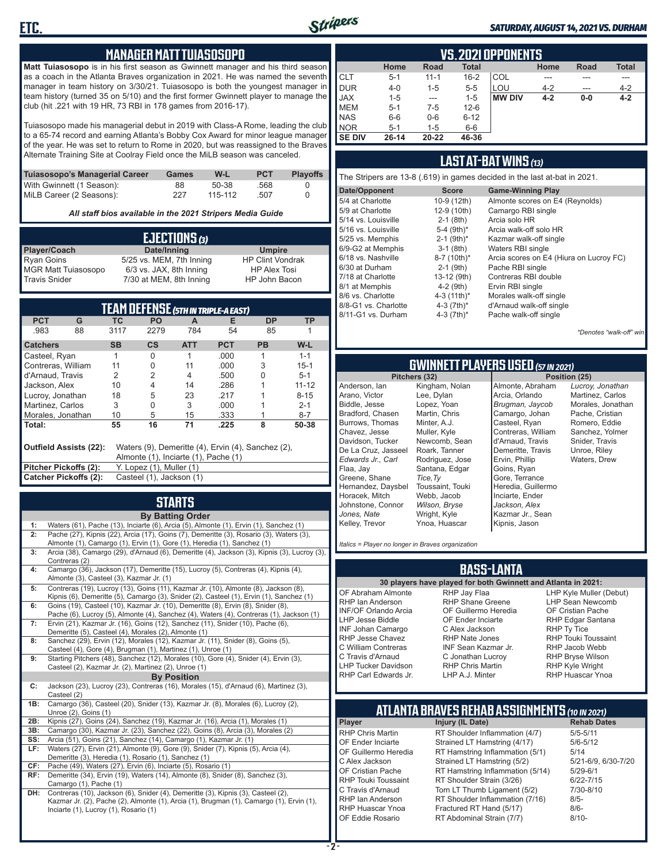

#### *SATURDAY, AUGUST 14, 2021 VS. DURHAM*

#### **MANAGER MATT TUIASOSOPO**

**Matt Tuiasosopo** is in his first season as Gwinnett manager and his third season as a coach in the Atlanta Braves organization in 2021. He was named the seventh manager in team history on 3/30/21. Tuiasosopo is both the youngest manager in team history (turned 35 on 5/10) and the first former Gwinnett player to manage the club (hit .221 with 19 HR, 73 RBI in 178 games from 2016-17).

Tuiasosopo made his managerial debut in 2019 with Class-A Rome, leading the club to a 65-74 record and earning Atlanta's Bobby Cox Award for minor league manager of the year. He was set to return to Rome in 2020, but was reassigned to the Braves Alternate Training Site at Coolray Field once the MiLB season was canceled.

| Tuiasosopo's Managerial Career | Games | W-L     | <b>PCT</b> | <b>Plavoffs</b> |
|--------------------------------|-------|---------|------------|-----------------|
| With Gwinnett (1 Season):      | 88    | $50-38$ | .568       |                 |
| MiLB Career (2 Seasons):       | 227   | 115-112 | .507       |                 |

*All staff bios available in the 2021 Stripers Media Guide*

| <b>EJECTIONS</b> (3)       |                          |                         |  |  |  |
|----------------------------|--------------------------|-------------------------|--|--|--|
| Player/Coach               | Date/Inning              | <b>Umpire</b>           |  |  |  |
| <b>Ryan Goins</b>          | 5/25 vs. MEM, 7th Inning | <b>HP Clint Vondrak</b> |  |  |  |
| <b>MGR Matt Tuiasosopo</b> | 6/3 vs. JAX, 8th Inning  | <b>HP Alex Tosi</b>     |  |  |  |
| <b>Travis Snider</b>       | 7/30 at MEM, 8th Inning  | HP John Bacon           |  |  |  |

| TEAM DEFENSE (5TH IN TRIPLE-A EAST) |                                                                                                                      |                          |                          |            |            |           |           |
|-------------------------------------|----------------------------------------------------------------------------------------------------------------------|--------------------------|--------------------------|------------|------------|-----------|-----------|
| <b>PCT</b>                          | G                                                                                                                    | <b>TC</b>                | <b>PO</b>                | A          | Е          | <b>DP</b> | <b>TP</b> |
| .983                                | 88                                                                                                                   | 3117                     | 2279                     | 784        | 54         | 85        |           |
| <b>Catchers</b>                     |                                                                                                                      | <b>SB</b>                | cs                       | <b>ATT</b> | <b>PCT</b> | <b>PB</b> | W-L       |
| Casteel, Ryan                       |                                                                                                                      |                          | 0                        |            | .000       |           | $1 - 1$   |
| Contreras, William                  |                                                                                                                      | 11                       | 0                        | 11         | .000       | 3         | $15 - 1$  |
| d'Arnaud, Travis                    |                                                                                                                      | 2                        | $\overline{2}$           | 4          | .500       | O         | $5 - 1$   |
| Jackson, Alex                       |                                                                                                                      | 10                       | 4                        | 14         | .286       |           | $11 - 12$ |
| Lucroy, Jonathan                    |                                                                                                                      | 18                       | 5                        | 23         | .217       |           | $8 - 15$  |
| Martinez, Carlos                    |                                                                                                                      | 3                        | 0                        | 3          | .000       |           | $2 - 1$   |
| Morales, Jonathan                   |                                                                                                                      | 10                       | 5                        | 15         | .333       |           | $8 - 7$   |
| Total:                              |                                                                                                                      | 55                       | 16                       | 71         | .225       | 8         | 50-38     |
|                                     | Outfield Assists (22):<br>Waters (9), Demeritte (4), Ervin (4), Sanchez (2),<br>Almonte (1), Inciarte (1), Pache (1) |                          |                          |            |            |           |           |
| Pitcher Pickoffs (2):               |                                                                                                                      |                          | Y. Lopez (1), Muller (1) |            |            |           |           |
| Catcher Pickoffs (2):               |                                                                                                                      | Casteel (1), Jackson (1) |                          |            |            |           |           |

# **STARTS**

|     | <b>By Batting Order</b>                                                                                                                      |
|-----|----------------------------------------------------------------------------------------------------------------------------------------------|
| 1:  | Waters (61), Pache (13), Inciarte (6), Arcia (5), Almonte (1), Ervin (1), Sanchez (1)                                                        |
| 2:  | Pache (27), Kipnis (22), Arcia (17), Goins (7), Demeritte (3), Rosario (3), Waters (3),                                                      |
|     | Almonte (1), Camargo (1), Ervin (1), Gore (1), Heredia (1), Sanchez (1)                                                                      |
| 3:  | Arcia (38), Camargo (29), d'Arnaud (6), Demeritte (4), Jackson (3), Kipnis (3), Lucroy (3),                                                  |
|     | Contreras (2)                                                                                                                                |
| 4:  | Camargo (36), Jackson (17), Demeritte (15), Lucroy (5), Contreras (4), Kipnis (4),                                                           |
|     | Almonte (3), Casteel (3), Kazmar Jr. (1)                                                                                                     |
| 5:  | Contreras (19), Lucroy (13), Goins (11), Kazmar Jr. (10), Almonte (8), Jackson (8),                                                          |
|     | Kipnis (6), Demeritte (5), Camargo (3), Snider (2), Casteel (1), Ervin (1), Sanchez (1)                                                      |
| 6:  | Goins (19), Casteel (10), Kazmar Jr. (10), Demeritte (8), Ervin (8), Snider (8),                                                             |
|     | Pache (6), Lucroy (5), Almonte (4), Sanchez (4), Waters (4), Contreras (1), Jackson (1)                                                      |
| 7:  | Ervin (21), Kazmar Jr. (16), Goins (12), Sanchez (11), Snider (10), Pache (6),                                                               |
|     | Demeritte (5), Casteel (4), Morales (2), Almonte (1)                                                                                         |
| 8:  | Sanchez (29), Ervin (12), Morales (12), Kazmar Jr. (11), Snider (8), Goins (5),                                                              |
|     | Casteel (4), Gore (4), Brugman (1), Martinez (1), Unroe (1)                                                                                  |
| 9:  | Starting Pitchers (48), Sanchez (12), Morales (10), Gore (4), Snider (4), Ervin (3),<br>Casteel (2), Kazmar Jr. (2), Martinez (2), Unroe (1) |
|     | <b>By Position</b>                                                                                                                           |
| C:  |                                                                                                                                              |
|     | Jackson (23), Lucroy (23), Contreras (16), Morales (15), d'Arnaud (6), Martinez (3),<br>Casteel (2)                                          |
| 1B: | Camargo (36), Casteel (20), Snider (13), Kazmar Jr. (8), Morales (6), Lucroy (2),                                                            |
|     | Unroe $(2)$ , Goins $(1)$                                                                                                                    |
| 2B: | Kipnis (27), Goins (24), Sanchez (19), Kazmar Jr. (16), Arcia (1), Morales (1)                                                               |
| 3B: | Camargo (30), Kazmar Jr. (23), Sanchez (22), Goins (8), Arcia (3), Morales (2)                                                               |
| SS: | Arcia (51), Goins (21), Sanchez (14), Camargo (1), Kazmar Jr. (1)                                                                            |
| LF: | Waters (27), Ervin (21), Almonte (9), Gore (9), Snider (7), Kipnis (5), Arcia (4),                                                           |
|     | Demeritte (3), Heredia (1), Rosario (1), Sanchez (1)                                                                                         |
| CF: | Pache (49), Waters (27), Ervin (6), Inciarte (5), Rosario (1)                                                                                |
| RF: | Demeritte (34), Ervin (19), Waters (14), Almonte (8), Snider (8), Sanchez (3),                                                               |
|     | Camargo (1), Pache (1)                                                                                                                       |
| DH: | Contreras (10), Jackson (6), Snider (4), Demeritte (3), Kipnis (3), Casteel (2),                                                             |
|     | Kazmar Jr. (2), Pache (2), Almonte (1), Arcia (1), Brugman (1), Camargo (1), Ervin (1),                                                      |
|     | Inciarte (1), Lucroy (1), Rosario (1)                                                                                                        |
|     |                                                                                                                                              |

|               | VS. 2021 OPPONENTS                                                            |          |          |     |         |     |         |  |  |  |  |  |  |  |
|---------------|-------------------------------------------------------------------------------|----------|----------|-----|---------|-----|---------|--|--|--|--|--|--|--|
|               | Road<br><b>Total</b><br>Home<br><b>Total</b><br>Road<br>Home                  |          |          |     |         |     |         |  |  |  |  |  |  |  |
| <b>CLT</b>    | $5 - 1$                                                                       | $11 - 1$ | $16 - 2$ | COL | ---     |     | ---     |  |  |  |  |  |  |  |
| <b>DUR</b>    | $4 - 0$                                                                       | $1 - 5$  | $5 - 5$  | LOU | $4 - 2$ | --- | $4 - 2$ |  |  |  |  |  |  |  |
| <b>JAX</b>    | $4 - 2$<br><b>MW DIV</b><br>$1 - 5$<br>$1 - 5$<br>$4 - 2$<br>$0-0$<br>$- - -$ |          |          |     |         |     |         |  |  |  |  |  |  |  |
| <b>MEM</b>    | $5 - 1$                                                                       | $7-5$    | $12 - 6$ |     |         |     |         |  |  |  |  |  |  |  |
| <b>NAS</b>    | $6-6$                                                                         | $0-6$    | $6 - 12$ |     |         |     |         |  |  |  |  |  |  |  |
| <b>NOR</b>    | $5 - 1$                                                                       | $1 - 5$  | $6-6$    |     |         |     |         |  |  |  |  |  |  |  |
| <b>SE DIV</b> | $26-14$                                                                       | 20-22    | 46-36    |     |         |     |         |  |  |  |  |  |  |  |

#### **LAST AT-BAT WINS** *(13)*

|                      |                          | The Stripers are 13-8 (.619) in games decided in the last at-bat in 2021. |
|----------------------|--------------------------|---------------------------------------------------------------------------|
| Date/Opponent        | <b>Score</b>             | <b>Game-Winning Play</b>                                                  |
| 5/4 at Charlotte     | 10-9 (12th)              | Almonte scores on E4 (Reynolds)                                           |
| 5/9 at Charlotte     | 12-9 (10th)              | Camargo RBI single                                                        |
| 5/14 vs. Louisville  | $2-1$ (8th)              | Arcia solo HR                                                             |
| 5/16 vs. Louisville  | 5-4 $(9th)*$             | Arcia walk-off solo HR                                                    |
| 5/25 vs. Memphis     | $2-1$ (9th) <sup>*</sup> | Kazmar walk-off single                                                    |
| 6/9-G2 at Memphis    | $3-1$ (8th)              | Waters RBI single                                                         |
| 6/18 vs. Nashville   | 8-7 (10th)*              | Arcia scores on E4 (Hiura on Lucroy FC)                                   |
| 6/30 at Durham       | $2-1$ (9th)              | Pache RBI single                                                          |
| 7/18 at Charlotte    | 13-12 (9th)              | Contreras RBI double                                                      |
| 8/1 at Memphis       | $4-2$ (9th)              | Ervin RBI single                                                          |
| 8/6 vs. Charlotte    | 4-3 $(11th)^*$           | Morales walk-off single                                                   |
| 8/8-G1 vs. Charlotte | 4-3 $(7th)^*$            | d'Arnaud walk-off single                                                  |
| 8/11-G1 vs. Durham   | 4-3 $(7th)^*$            | Pache walk-off single                                                     |
|                      |                          |                                                                           |

*\*Denotes "walk-off" win*

# **GWINNETT PLAYERS USED** *(57 IN 2021)*

**Pitchers (32)** Anderson, Ian Arano, Victor Biddle, Jesse Bradford, Chasen Burrows, Thomas Chavez, Jesse Davidson, Tucker De La Cruz, Jasseel *Edwards Jr., Carl* Flaa, Jay Greene, Shane Hernandez, Daysbel Horacek, Mitch Johnstone, Connor *Jones, Nate* Kelley, Trevor Lee, Dylan Lopez, Yoan Martin, Chris Minter, A.J. Muller, Kyle Roark, Tanner *Tice,Ty* Webb, Jacob *Wilson, Bryse* Wright, Kyle

Kingham, Nolan Newcomb, Sean Rodriguez, Jose Santana, Edgar Toussaint, Touki Ynoa, Huascar Almonte, Abraham Arcia, Orlando *Brugman, Jaycob* Camargo, Johan Casteel, Ryan Contreras, William d'Arnaud, Travis Demeritte, Travis Ervin, Phillip Goins, Ryan Gore, Terrance Heredia, Guillermo Inciarte, Ender *Jackson, Alex* Kazmar Jr., Sean Kipnis, Jason

*Lucroy, Jonathan* Martinez, Carlos Morales, Jonathan Pache, Cristian Romero, Eddie Sanchez, Yolmer Snider, Travis Unroe, Riley Waters, Drew

*Italics = Player no longer in Braves organization*

#### **BASS-LANTA**

OF Abraham Almonte RHP Ian Anderson INF/OF Orlando Arcia LHP Jesse Biddle INF Johan Camargo RHP Jesse Chavez C William Contreras C Travis d'Arnaud LHP Tucker Davidson

**30 players have played for both Gwinnett and Atlanta in 2021:** RHP Jay Flaa RHP Shane Greene OF Guillermo Heredia OF Ender Inciarte C Alex Jackson RHP Nate Jones INF Sean Kazmar Jr. C Jonathan Lucroy RHP Chris Martin LHP A.J. Minter

LHP Kyle Muller (Debut) LHP Sean Newcomb OF Cristian Pache RHP Edgar Santana RHP Ty Tice RHP Touki Toussaint RHP Jacob Webb RHP Bryse Wilson RHP Kyle Wright RHP Huascar Ynoa

# **ATLANTA BRAVES REHAB ASSIGNMENTS** *(10 IN 2021)*

**Player Injury (IL Date)** 

RHP Carl Edwards Jr.

RHP Chris Martin RT Shoulder Inflammation (4/7) 5/5-5/11<br>CF Ender Inciarte Strained I T Hamstring (4/17) 5/6-5/12 OF Ender Inciarte Strained LT Hamstring (4/17) 5/6-5<br>OF Guillermo Heredia RT Hamstring Inflammation (5/1) 5/14 OF Guillermo Heredia RT Hamstring Inflammation (5/1) 5/14<br>C Alex Jackson Strained LT Hamstring (5/2) 5/21-6/9, 6/30-7/20 C Alex Jackson Strained LT Hamstring (5/2) 5/21-6/9<br>CF Cristian Pache RT Hamstring Inflammation (5/14) 5/29-6/1 OF Cristian Pache RT Hamstring Inflammation (5/14)<br>RHP Touki Toussaint RT Shoulder Strain (3/26) RHP Touki Toussaint RT Shoulder Strain (3/26) 6/22-7/15<br>C Travis d'Arnaud Torn LT Thumb Ligament (5/2) 7/30-8/10 C Travis d'Arnaud Torn LT Thumb Ligament (5/2) 7/30<br>RHP Ian Anderson RT Shoulder Inflammation (7/16) 8/5-RHP Ian Anderson RT Shoulder Inflammation (7/16) 8/5-<br>RHP Huascar Ynoa Fractured RT Hand (5/17) 8/6-RHP Huascar Ynoa Fractured RT Hand (5/17) 8/6- RT Abdominal Strain (7/7)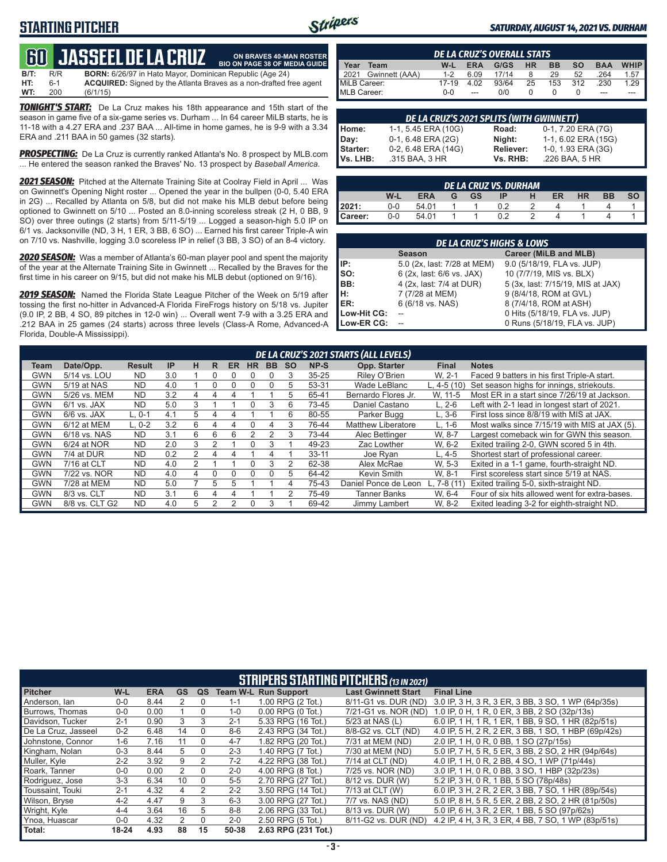### **STARTING PITCHER**



**ON BRAVES 40-MAN ROSTER**

#### *SATURDAY, AUGUST 14, 2021 VS. DURHAM*

### **60****JASSEEL DE LA CRUZ**

**B/T:** R/R **BORN:** 6/26/97 in Hato Mayor, Dominican Republic (Age 24)<br>**HT:** 6-1 **ACQUIRED:** Signed by the Atlanta Braves as a non-drafted f **HT:** 6-1 **ACQUIRED:** Signed by the Atlanta Braves as a non-drafted free agent **WT:** 200 (6/1/15) **BIO ON PAGE 38 OF MEDIA GUIDE**

*TONIGHT'S START:* De La Cruz makes his 18th appearance and 15th start of the season in game five of a six-game series vs. Durham ... In 64 career MiLB starts, he is 11-18 with a 4.27 ERA and .237 BAA ... All-time in home games, he is 9-9 with a 3.34 ERA and .211 BAA in 50 games (32 starts).

*PROSPECTING:* De La Cruz is currently ranked Atlanta's No. 8 prospect by MLB.com ... He entered the season ranked the Braves' No. 13 prospect by *Baseball America*.

*2021 SEASON:* Pitched at the Alternate Training Site at Coolray Field in April ... Was on Gwinnett's Opening Night roster ... Opened the year in the bullpen (0-0, 5.40 ERA in 2G) ... Recalled by Atlanta on 5/8, but did not make his MLB debut before being optioned to Gwinnett on 5/10 ... Posted an 8.0-inning scoreless streak (2 H, 0 BB, 9 SO) over three outings (2 starts) from 5/11-5/19 ... Logged a season-high 5.0 IP on 6/1 vs. Jacksonville (ND, 3 H, 1 ER, 3 BB, 6 SO) ... Earned his first career Triple-A win on 7/10 vs. Nashville, logging 3.0 scoreless IP in relief (3 BB, 3 SO) of an 8-4 victory.

*2020 SEASON:* Was a member of Atlanta's 60-man player pool and spent the majority of the year at the Alternate Training Site in Gwinnett ... Recalled by the Braves for the first time in his career on 9/15, but did not make his MLB debut (optioned on 9/16).

*2019 SEASON:* Named the Florida State League Pitcher of the Week on 5/19 after tossing the first no-hitter in Advanced-A Florida FireFrogs history on 5/18 vs. Jupiter (9.0 IP, 2 BB, 4 SO, 89 pitches in 12-0 win) ... Overall went 7-9 with a 3.25 ERA and .212 BAA in 25 games (24 starts) across three levels (Class-A Rome, Advanced-A Florida, Double-A Mississippi).

| <b>DE LA CRUZ'S OVERALL STATS</b> |         |            |       |           |           |           |            |             |  |  |  |  |
|-----------------------------------|---------|------------|-------|-----------|-----------|-----------|------------|-------------|--|--|--|--|
| Team<br>∕ear                      | W-L     | <b>ERA</b> | G/GS  | <b>HR</b> | <b>BB</b> | <b>SO</b> | <b>BAA</b> | <b>WHIP</b> |  |  |  |  |
| Gwinnett (AAA)<br>2021            | $1 - 2$ | 6.09       | 17/14 | 8         | 29        | 52        | 264        | 1.57        |  |  |  |  |
| MiLB Career:                      | 17-19   | 4.02       | 93/64 | 25        | 153       | 312       | .230       | 1.29        |  |  |  |  |
| MLB Career:                       | 0-0     | ---        | n/n   |           |           |           | ---        |             |  |  |  |  |

|          | DE LA CRUZ'S 2021 SPLITS (WITH GWINNETT) |           |                     |  |  |  |  |  |  |  |  |
|----------|------------------------------------------|-----------|---------------------|--|--|--|--|--|--|--|--|
| Home:    | 1-1, 5.45 ERA (10G)                      | Road:     | 0-1, 7.20 ERA (7G)  |  |  |  |  |  |  |  |  |
| Day:     | 0-1, 6.48 ERA (2G)                       | Night:    | 1-1, 6.02 ERA (15G) |  |  |  |  |  |  |  |  |
| Starter: | 0-2, 6.48 ERA (14G)                      | Reliever: | 1-0, 1.93 ERA (3G)  |  |  |  |  |  |  |  |  |
| Vs. LHB: | .315 BAA, 3 HR                           | Vs. RHB:  | .226 BAA, 5 HR      |  |  |  |  |  |  |  |  |

|         | DE LA CRUZ VS. DURHAM                                                           |       |  |  |  |  |  |  |  |  |  |  |  |  |  |
|---------|---------------------------------------------------------------------------------|-------|--|--|--|--|--|--|--|--|--|--|--|--|--|
|         | W-l<br><b>BB</b><br><b>GS</b><br><b>ERA</b><br>ER<br><b>HR</b><br>SΟ<br>ΙP<br>G |       |  |  |  |  |  |  |  |  |  |  |  |  |  |
| 12021:  | 0-0                                                                             | 54.01 |  |  |  |  |  |  |  |  |  |  |  |  |  |
| Career: | $0-0$                                                                           | 54.01 |  |  |  |  |  |  |  |  |  |  |  |  |  |

|             | <b>DE LA CRUZ'S HIGHS &amp; LOWS</b> |                                   |  |  |  |  |  |  |  |  |  |
|-------------|--------------------------------------|-----------------------------------|--|--|--|--|--|--|--|--|--|
|             | <b>Season</b>                        | Career (MiLB and MLB)             |  |  |  |  |  |  |  |  |  |
| IP:         | 5.0 (2x, last: 7/28 at MEM)          | 9.0 (5/18/19, FLA vs. JUP)        |  |  |  |  |  |  |  |  |  |
| SO:         | 6 (2x, last: 6/6 vs. JAX)            | 10 (7/7/19, MIS vs. BLX)          |  |  |  |  |  |  |  |  |  |
| BB:         | 4 (2x, last: 7/4 at DUR)             | 5 (3x, last: 7/15/19, MIS at JAX) |  |  |  |  |  |  |  |  |  |
| н:          | 7 (7/28 at MEM)                      | 9 (8/4/18, ROM at GVL)            |  |  |  |  |  |  |  |  |  |
| ER:         | 6 (6/18 vs. NAS)                     | 8 (7/4/18, ROM at ASH)            |  |  |  |  |  |  |  |  |  |
| Low-Hit CG: |                                      | 0 Hits (5/18/19, FLA vs. JUP)     |  |  |  |  |  |  |  |  |  |
| Low-ER CG:  |                                      | 0 Runs (5/18/19, FLA vs. JUP)     |  |  |  |  |  |  |  |  |  |

|      |                |               |     |   |   |           |           |           |           |           | DE LA CRUZ'S 2021 STARTS (ALL LEVELS) |              |                                                |
|------|----------------|---------------|-----|---|---|-----------|-----------|-----------|-----------|-----------|---------------------------------------|--------------|------------------------------------------------|
| Team | Date/Opp.      | <b>Result</b> | IP  | н | R | <b>ER</b> | <b>HR</b> | <b>BB</b> | <b>SO</b> | NP-S      | Opp. Starter                          | <b>Final</b> | <b>Notes</b>                                   |
| GWN  | 5/14 vs. LOU   | <b>ND</b>     | 3.0 |   |   |           |           |           | 3         | $35 - 25$ | Rilev O'Brien                         | W. 2-1       | Faced 9 batters in his first Triple-A start.   |
| GWN  | 5/19 at NAS    | <b>ND</b>     | 4.0 |   |   |           |           | 0         | 5         | 53-31     | Wade LeBlanc                          | L. $4-5(10)$ | Set season highs for innings, striekouts.      |
| GWN  | 5/26 vs. MEM   | <b>ND</b>     | 3.2 | 4 | 4 |           |           |           | 5         | 65-41     | Bernardo Flores Jr.                   | W. 11-5      | Most ER in a start since 7/26/19 at Jackson.   |
| GWN  | $6/1$ vs. JAX  | <b>ND</b>     | 5.0 | 3 |   |           |           | 3         | 6         | 73-45     | Daniel Castano                        | $L. 2-6$     | Left with 2-1 lead in longest start of 2021.   |
| GWN  | $6/6$ vs. JAX  | $L.0-1$       | 4.1 | 5 | Δ |           |           |           | 6         | 80-55     | Parker Bugg                           | $L.3-6$      | First loss since 8/8/19 with MIS at JAX.       |
| GWN  | $6/12$ at MEM  | $L.0-2$       | 3.2 | 6 | 4 |           |           |           | 3         | 76-44     | <b>Matthew Liberatore</b>             | $L. 1-6$     | Most walks since 7/15/19 with MIS at JAX (5).  |
| GWN  | 6/18 vs. NAS   | <b>ND</b>     | 3.1 | 6 | 6 | 6         |           |           | 3         | 73-44     | Alec Bettinger                        | W, 8-7       | Largest comeback win for GWN this season.      |
| GWN  | 6/24 at NOR    | <b>ND</b>     | 2.0 | 3 |   |           |           | 3         |           | 49-23     | Zac Lowther                           | W. 6-2       | Exited trailing 2-0, GWN scored 5 in 4th.      |
| GWN  | 7/4 at DUR     | <b>ND</b>     | 0.2 |   | л |           |           |           |           | $33 - 11$ | Joe Rvan                              | $L.4-5$      | Shortest start of professional career.         |
| GWN  | 7/16 at CLT    | <b>ND</b>     | 4.0 |   |   |           |           | 3         |           | 62-38     | Alex McRae                            | W, 5-3       | Exited in a 1-1 game, fourth-straight ND.      |
| GWN  | 7/22 vs. NOR   | <b>ND</b>     | 4.0 | 4 |   | $\Omega$  |           | 0         | 5         | 64-42     | Kevin Smith                           | W. 8-1       | First scoreless start since 5/19 at NAS.       |
| GWN  | 7/28 at MEM    | <b>ND</b>     | 5.0 |   | 5 | 5         |           |           | 4         | 75-43     | Daniel Ponce de Leon                  | L. $7-8(11)$ | Exited trailing 5-0, sixth-straight ND.        |
| GWN  | 8/3 vs. CLT    | <b>ND</b>     | 3.1 | 6 | Δ |           |           |           |           | 75-49     | <b>Tanner Banks</b>                   | W. 6-4       | Four of six hits allowed went for extra-bases. |
| GWN  | 8/8 vs. CLT G2 | <b>ND</b>     | 4.0 | 5 |   |           |           | 3         |           | 69-42     | Jimmy Lambert                         | W. 8-2       | Exited leading 3-2 for eighth-straight ND.     |

|                     |           |            |    |    |         |                             | <b>STRIPERS STARTING PITCHERS (13 IN 2021)</b> |                                                     |
|---------------------|-----------|------------|----|----|---------|-----------------------------|------------------------------------------------|-----------------------------------------------------|
| <b>Pitcher</b>      | W-L       | <b>ERA</b> | GS | QS |         | <b>Team W-L Run Support</b> | <b>Last Gwinnett Start</b>                     | <b>Final Line</b>                                   |
| Anderson, Ian       | $0-0$     | 8.44       |    |    | $1 - 1$ | 1.00 RPG (2 Tot.)           | 8/11-G1 vs. DUR (ND)                           | 3.0 IP, 3 H, 3 R, 3 ER, 3 BB, 3 SO, 1 WP (64p/35s)  |
| Burrows, Thomas     | $0-0$     | 0.00       |    | 0  | $1 - 0$ | $0.00$ RPG $(0$ Tot.)       | 7/21-G1 vs. NOR (ND)                           | 1.0 IP, 0 H, 1 R, 0 ER, 3 BB, 2 SO (32p/13s)        |
| Davidson, Tucker    | $2 - 1$   | 0.90       | 3  | 3  | $2 - 1$ | 5.33 RPG (16 Tot.)          | 5/23 at NAS (L)                                | 6.0 IP, 1 H, 1 R, 1 ER, 1 BB, 9 SO, 1 HR (82p/51s)  |
| De La Cruz. Jasseel | $0 - 2$   | 6.48       | 14 | 0  | 8-6     | 2.43 RPG (34 Tot.)          | 8/8-G2 vs. CLT (ND)                            | 4.0 IP, 5 H, 2 R, 2 ER, 3 BB, 1 SO, 1 HBP (69p/42s) |
| Johnstone, Connor   | $1-6$     | 7.16       | 11 | 0  | $4 - 7$ | 1.82 RPG (20 Tot.)          | 7/31 at MEM (ND)                               | 2.0 IP, 1 H, 0 R, 0 BB, 1 SO (27p/15s)              |
| Kingham, Nolan      | $0 - 3$   | 8.44       | 5  | 0  | $2 - 3$ | 1.40 RPG (7 Tot.)           | 7/30 at MEM (ND)                               | 5.0 IP, 7 H, 5 R, 5 ER, 3 BB, 2 SO, 2 HR (94p/64s)  |
| Muller, Kyle        | $2 - 2$   | 3.92       | 9  | 2  | $7 - 2$ | 4.22 RPG (38 Tot.)          | 7/14 at CLT (ND)                               | 4.0 IP, 1 H, 0 R, 2 BB, 4 SO, 1 WP (71p/44s)        |
| Roark, Tanner       | $0 - 0$   | 0.00       | 2  | 0  | $2 - 0$ | 4.00 RPG (8 Tot.)           | 7/25 vs. NOR (ND)                              | 3.0 IP, 1 H, 0 R, 0 BB, 3 SO, 1 HBP (32p/23s)       |
| Rodriguez, Jose     | $3-3$     | 6.34       | 10 | 0  | $5-5$   | 2.70 RPG (27 Tot.)          | 8/12 vs. DUR (W)                               | 5.2 IP, 3 H, 0 R, 1 BB, 5 SO (78p/48s)              |
| Toussaint, Touki    | $2 - 1$   | 4.32       | 4  | 2  | $2 - 2$ | 3.50 RPG (14 Tot.)          | 7/13 at CLT (W)                                | 6.0 IP, 3 H, 2 R, 2 ER, 3 BB, 7 SO, 1 HR (89p/54s)  |
| Wilson, Bryse       | $4 - 2$   | 4.47       | 9  | 3  | $6 - 3$ | 3.00 RPG (27 Tot.)          | 7/7 vs. NAS (ND)                               | 5.0 IP, 8 H, 5 R, 5 ER, 2 BB, 2 SO, 2 HR (81p/50s)  |
| Wright, Kyle        | $4 - 4$   | 3.64       | 16 | 5. | $8 - 8$ | 2.06 RPG (33 Tot.)          | 8/13 vs. DUR (W)                               | 5.0 IP, 6 H, 3 R, 2 ER, 1 BB, 5 SO (97p/62s)        |
| Ynoa, Huascar       | $0-0$     | 4.32       | 2  | 0  | $2 - 0$ | 2.50 RPG (5 Tot.)           | 8/11-G2 vs. DUR (ND)                           | 4.2 IP, 4 H, 3 R, 3 ER, 4 BB, 7 SO, 1 WP (83p/51s)  |
| Total:              | $18 - 24$ | 4.93       | 88 | 15 | 50-38   | 2.63 RPG (231 Tot.)         |                                                |                                                     |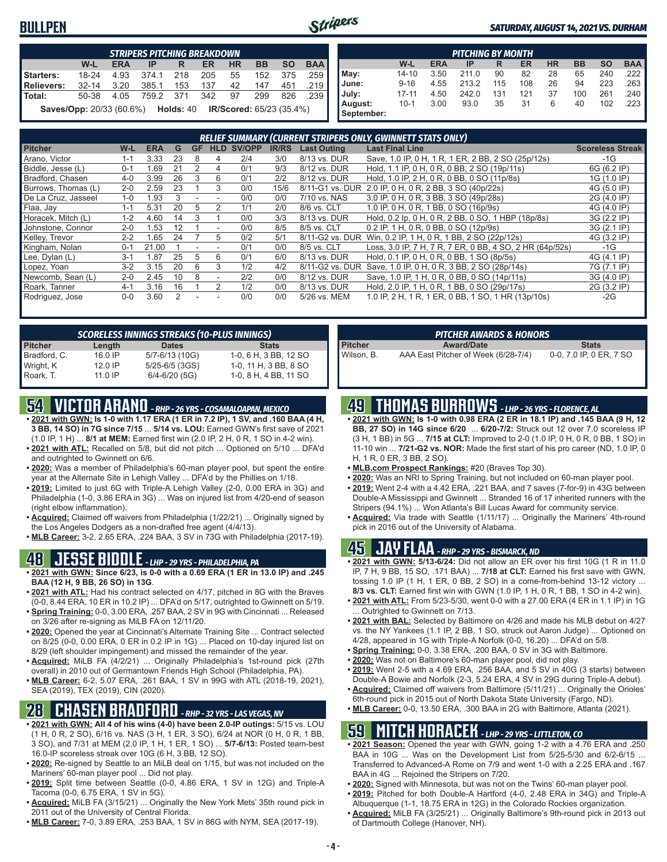#### **BULLPEN**



#### *SATURDAY, AUGUST 14, 2021 VS. DURHAM*

|               | <b>STRIPERS PITCHING BREAKDOWN</b>                                               |      |       |       |     |                                 |     |     |        |  |  |  |  |  |
|---------------|----------------------------------------------------------------------------------|------|-------|-------|-----|---------------------------------|-----|-----|--------|--|--|--|--|--|
|               | <b>BAA</b><br><b>BB</b><br><b>SO</b><br>W-L<br>ΗR<br><b>ERA</b><br>ER<br>IP<br>R |      |       |       |     |                                 |     |     |        |  |  |  |  |  |
| Starters:     | 18-24                                                                            | 4.93 | 374.1 | 218   | 205 | 55                              | 152 | 375 | .259 ∎ |  |  |  |  |  |
| Relievers:    | $32 - 14$                                                                        | 3.20 | 385.1 | 153   | 137 | 42                              | 147 | 451 | .219 ∎ |  |  |  |  |  |
| <b>Total:</b> | 50-38                                                                            | 4.05 | 759.2 | - 371 | 342 | 97                              | 299 | 826 | .239 ∎ |  |  |  |  |  |
|               | <b>Saves/Opp: 20/33 (60.6%) Holds: 40</b>                                        |      |       |       |     | <b>IR/Scored: 65/23 (35.4%)</b> |     |     |        |  |  |  |  |  |

|            | <b>PITCHING BY MONTH</b> |                                                                                  |       |     |     |    |     |     |     |  |  |  |  |  |
|------------|--------------------------|----------------------------------------------------------------------------------|-------|-----|-----|----|-----|-----|-----|--|--|--|--|--|
|            | W-L                      | <b>HR</b><br><b>BB</b><br><b>SO</b><br><b>BAA</b><br><b>ERA</b><br>ER<br>IP<br>R |       |     |     |    |     |     |     |  |  |  |  |  |
| May:       | $14 - 10$                | 3.50                                                                             | 211.0 | 90  | 82  | 28 | 65  | 240 | 222 |  |  |  |  |  |
| June:      | $9 - 16$                 | 4.55                                                                             | 213.2 | 115 | 108 | 26 | 94  | 223 | 263 |  |  |  |  |  |
| July:      | $17 - 11$                | 4.50                                                                             | 242.0 | 131 | 121 | 37 | 100 | 261 | 240 |  |  |  |  |  |
| August:    | $10 - 1$                 | 3.00                                                                             | 93.0  | 35  | 31  | 6  | 40  | 102 | 223 |  |  |  |  |  |
| September: |                          |                                                                                  |       |     |     |    |     |     |     |  |  |  |  |  |

|                     |         |            |    |           |            |        |              |                    | RELIEF SUMMARY (CURRENT STRIPERS ONLY, GWINNETT STATS ONLY) |                         |
|---------------------|---------|------------|----|-----------|------------|--------|--------------|--------------------|-------------------------------------------------------------|-------------------------|
| <b>Pitcher</b>      | W-L     | <b>ERA</b> | G  | <b>GF</b> | <b>HLD</b> | SV/OPP | <b>IR/RS</b> | <b>Last Outing</b> | <b>Last Final Line</b>                                      | <b>Scoreless Streak</b> |
| Arano, Victor       | 1-1     | 3.33       | 23 | 8         | 4          | 2/4    | 3/0          | 8/13 vs. DUR       | Save, 1.0 IP, 0 H, 1 R, 1 ER, 2 BB, 2 SO (25p/12s)          | $-1G$                   |
| Biddle, Jesse (L)   | $0 - 1$ | .69        | 21 |           | 4          | 0/1    | 9/3          | 8/12 vs. DUR       | Hold, 1.1 IP, 0 H, 0 R, 0 BB, 2 SO (19p/11s)                | 6G (6.2 IP)             |
| Bradford, Chasen    | $4 - 0$ | 3.99       | 26 | 3         | 6          | 0/1    | 2/2          | 8/12 vs. DUR       | Hold, 1.0 IP, 2 H, 0 R, 0 BB, 0 SO (11p/8s)                 | 1G (1.0 IP)             |
| Burrows, Thomas (L) | $2 - 0$ | 2.59       | 23 |           | 3          | 0/0    | 15/6         |                    | 8/11-G1 vs. DUR 2.0 IP, 0 H, 0 R, 2 BB, 3 SO (40p/22s)      | 4G (5.0 IP)             |
| De La Cruz, Jasseel | $1-0$   | .93        |    |           |            | 0/0    | 0/0          | 7/10 vs. NAS       | 3.0 IP, 0 H, 0 R, 3 BB, 3 SO (49p/28s)                      | 2G (4.0 IP)             |
| Flaa, Jay           | $1 - 1$ | 5.31       | 20 | b         |            | 1/1    | 2/0          | 8/6 vs. CLT        | 1.0 IP, 0 H, 0 R, 1 BB, 0 SO (16p/9s)                       | 4G (4.0 IP)             |
| Horacek. Mitch (L)  | $1 - 2$ | 4.60       | 14 | 3         |            | 0/0    | 3/3          | 8/13 vs. DUR       | Hold, 0.2 lp, 0 H, 0 R, 2 BB, 0 SO, 1 HBP (18p/8s)          | 3G (2.2 IP)             |
| Johnstone, Connor   | $2 - 0$ | .53        | 12 |           |            | 0/0    | 8/5          | 8/5 vs. CLT        | 0.2 IP, 1 H, 0 R, 0 BB, 0 SO (12p/9s)                       | 3G (2.1 IP)             |
| Kelley, Trevor      | $2 - 2$ | .65        | 24 |           | 5          | 0/2    | 5/1          |                    | 8/11-G2 vs. DUR Win, 0.2 IP, 1 H, 0 R, 1 BB, 2 SO (22p/12s) | 4G (3.2 IP)             |
| Kingham, Nolan      | $0 - 1$ | 21.00      |    |           |            | 0/1    | 0/0          | 8/5 vs. CLT        | Loss, 3.0 IP, 7 H, 7 R, 7 ER, 0 BB, 4 SO, 2 HR (64p/52s)    | $-1G$                   |
| Lee, Dylan (L)      | $3 - 1$ | .87        | 25 | 5         | 6          | 0/1    | 6/0          | 8/13 vs. DUR       | Hold, 0.1 IP, 0 H, 0 R, 0 BB, 1 SO (8p/5s)                  | 4G (4.1 IP)             |
| Lopez, Yoan         | $3-2$   | 3.15       | 20 | 6         | 3          | 1/2    | 4/2          | 8/11-G2 vs. DUR    | Save, 1.0 IP, 0 H, 0 R, 3 BB, 2 SO (28p/14s)                | 7G (7.1 IP)             |
| Newcomb, Sean (L)   | $2 - 0$ | 2.45       | 10 | 8         |            | 2/2    | 0/0          | 8/12 vs. DUR       | Save, 1.0 IP, 1 H, 0 R, 0 BB, 0 SO (14p/11s)                | 3G (4.0 IP)             |
| Roark. Tanner       | $4 - 1$ | 3.16       | 16 |           |            | 1/2    | 0/0          | 8/13 vs. DUR       | Hold, 2.0 IP, 1 H, 0 R, 1 BB, 0 SO (29p/17s)                | 2G (3.2 IP)             |
| Rodriguez, Jose     | $0 - 0$ | 3.60       |    |           |            | 0/0    | 0/0          | 5/26 vs. MEM       | 1.0 IP, 2 H, 1 R, 1 ER, 0 BB, 1 SO, 1 HR (13p/10s)          | $-2G$                   |

| <b>SCORELESS INNINGS STREAKS (10-PLUS INNINGS)</b> |         |                    |                       |  |  |  |  |  |
|----------------------------------------------------|---------|--------------------|-----------------------|--|--|--|--|--|
| <b>Pitcher</b>                                     | Length  | <b>Dates</b>       | <b>Stats</b>          |  |  |  |  |  |
| Bradford, C.                                       | 16.0 IP | 5/7-6/13 (10G)     | 1-0, 6 H, 3 BB, 12 SO |  |  |  |  |  |
| Wright, K                                          | 12.0 IP | $5/25 - 6/5$ (3GS) | 1-0, 11 H, 3 BB, 8 SO |  |  |  |  |  |
| Roark, T.                                          | 11.0 IP | $6/4 - 6/20$ (5G)  | 1-0, 8 H, 4 BB, 11 SO |  |  |  |  |  |

# **54 VICTOR ARANO** *- RHP - 26 YRS - COSAMALOAPAN, MEXICO*

- **• 2021 with GWN: Is 1-0 with 1.17 ERA (1 ER in 7.2 IP), 1 SV, and .160 BAA (4 H, 3 BB, 14 SO) in 7G since 7/15** ... **5/14 vs. LOU:** Earned GWN's first save of 2021 (1.0 IP, 1 H) ... **8/1 at MEM:** Earned first win (2.0 IP, 2 H, 0 R, 1 SO in 4-2 win).
- **• 2021 with ATL:** Recalled on 5/8, but did not pitch ... Optioned on 5/10 ... DFA'd and outrighted to Gwinnett on 6/6.
- **• 2020:** Was a member of Philadelphia's 60-man player pool, but spent the entire year at the Alternate Site in Lehigh Valley ... DFA'd by the Phillies on 1/18.
- **• 2019:** Limited to just 6G with Triple-A Lehigh Valley (2-0, 0.00 ERA in 3G) and Philadelphia (1-0, 3.86 ERA in 3G) ... Was on injured list from 4/20-end of season (right elbow inflammation).
- **• Acquired:** Claimed off waivers from Philadelphia (1/22/21) ... Originally signed by the Los Angeles Dodgers as a non-drafted free agent (4/4/13).
- **• MLB Career:** 3-2, 2.65 ERA, .224 BAA, 3 SV in 73G with Philadelphia (2017-19).

#### **48 JESSE BIDDLE** *- LHP - 29 YRS - PHILADELPHIA, PA*

- **• 2021 with GWN: Since 6/23, is 0-0 with a 0.69 ERA (1 ER in 13.0 IP) and .245 BAA (12 H, 9 BB, 26 SO) in 13G**.
- **• 2021 with ATL:** Had his contract selected on 4/17, pitched in 8G with the Braves (0-0, 8.44 ERA, 10 ER in 10.2 IP) ... DFA'd on 5/17, outrighted to Gwinnett on 5/19. **• Spring Training:** 0-0, 3.00 ERA, .257 BAA, 2 SV in 9G with Cincinnati ... Released
- on 3/26 after re-signing as MiLB FA on 12/11/20.
- **• 2020:** Opened the year at Cincinnati's Alternate Training Site ... Contract selected on 8/25 (0-0, 0.00 ERA, 0 ER in 0.2 IP in 1G) ... Placed on 10-day injured list on 8/29 (left shoulder impingement) and missed the remainder of the year.
- **• Acquired:** MiLB FA (4/2/21) ... Originally Philadelphia's 1st-round pick (27th overall) in 2010 out of Germantown Friends High School (Philadelphia, PA).
- **• MLB Career:** 6-2, 5.07 ERA, .261 BAA, 1 SV in 99G with ATL (2018-19, 2021), SEA (2019), TEX (2019), CIN (2020).

# **28 CHASEN BRADFORD** *- RHP - 32 YRS - LAS VEGAS, NV*

- **• 2021 with GWN: All 4 of his wins (4-0) have been 2.0-IP outings:** 5/15 vs. LOU (1 H, 0 R, 2 SO), 6/16 vs. NAS (3 H, 1 ER, 3 SO), 6/24 at NOR (0 H, 0 R, 1 BB, 3 SO), and 7/31 at MEM (2.0 IP, 1 H, 1 ER, 1 SO) ... **5/7-6/13:** Posted team-best 16.0-IP scoreless streak over 10G (6 H, 3 BB, 12 SO).
- **• 2020:** Re-signed by Seattle to an MiLB deal on 1/15, but was not included on the Mariners' 60-man player pool ... Did not play.
- **• 2019:** Split time between Seattle (0-0, 4.86 ERA, 1 SV in 12G) and Triple-A Tacoma (0-0, 6.75 ERA, 1 SV in 5G).
- **• Acquired:** MiLB FA (3/15/21) ... Originally the New York Mets' 35th round pick in 2011 out of the University of Central Florida.
- **• MLB Career:** 7-0, 3.89 ERA, .253 BAA, 1 SV in 86G with NYM, SEA (2017-19).

| <b>PITCHER AWARDS &amp; HONORS</b> |                                     |                         |  |  |  |  |
|------------------------------------|-------------------------------------|-------------------------|--|--|--|--|
| Pitcher                            | <b>Award/Date</b>                   | <b>Stats</b>            |  |  |  |  |
| Wilson, B.                         | AAA East Pitcher of Week (6/28-7/4) | 0-0, 7.0 IP, 0 ER, 7 SO |  |  |  |  |

## **49 THOMAS BURROWS** *- LHP - 26 YRS - FLORENCE, AL*

- **• 2021 with GWN: Is 1-0 with 0.98 ERA (2 ER in 18.1 IP) and .145 BAA (9 H, 12 BB, 27 SO) in 14G since 6/20** ... **6/20-7/2:** Struck out 12 over 7.0 scoreless IP (3 H, 1 BB) in 5G ... **7/15 at CLT:** Improved to 2-0 (1.0 IP, 0 H, 0 R, 0 BB, 1 SO) in 11-10 win ... **7/21-G2 vs. NOR:** Made the first start of his pro career (ND, 1.0 IP, 0 H, 1 R, 0 ER, 3 BB, 2 SO).
- **• MLB.com Prospect Rankings:** #20 (Braves Top 30).
- **• 2020:** Was an NRI to Spring Training, but not included on 60-man player pool.
- **• 2019:** Went 2-4 with a 4.42 ERA, .221 BAA, and 7 saves (7-for-9) in 43G between Double-A Mississippi and Gwinnett ... Stranded 16 of 17 inherited runners with the Stripers (94.1%) ... Won Atlanta's Bill Lucas Award for community service.
- **• Acquired:** Via trade with Seattle (1/11/17) ... Originally the Mariners' 4th-round pick in 2016 out of the University of Alabama.

### **45 JAY FLAA** *- RHP - 29 YRS - BISMARCK, ND*

- **• 2021 with GWN: 5/13-6/24:** Did not allow an ER over his first 10G (1 R in 11.0 IP, 7 H, 9 BB, 15 SO, .171 BAA) ... **7/18 at CLT:** Earned his first save with GWN, tossing 1.0 IP (1 H, 1 ER, 0 BB, 2 SO) in a come-from-behind 13-12 victory ... **8/3 vs. CLT:** Earned first win with GWN (1.0 IP, 1 H, 0 R, 1 BB, 1 SO in 4-2 win).
- **• 2021 with ATL:** From 5/23-5/30, went 0-0 with a 27.00 ERA (4 ER in 1.1 IP) in 1G Outrighted to Gwinnett on 7/13.
- **• 2021 with BAL:** Selected by Baltimore on 4/26 and made his MLB debut on 4/27 vs. the NY Yankees (1.1 IP, 2 BB, 1 SO, struck out Aaron Judge) ... Optioned on 4/28, appeared in 1G with Triple-A Norfolk (0-0, 16.20) ... DFA'd on 5/8.
- **• Spring Training:** 0-0, 3.38 ERA, .200 BAA, 0 SV in 3G with Baltimore.
- **• 2020:** Was not on Baltimore's 60-man player pool, did not play.
- **• 2019:** Went 2-5 with a 4.69 ERA, .256 BAA, and 5 SV in 40G (3 starts) between Double-A Bowie and Norfolk (2-3, 5.24 ERA, 4 SV in 29G during Triple-A debut).
- **• Acquired:** Claimed off waivers from Baltimore (5/11/21) ... Originally the Orioles' 6th-round pick in 2015 out of North Dakota State University (Fargo, ND).
- **• MLB Career:** 0-0, 13.50 ERA, .300 BAA in 2G with Baltimore, Atlanta (2021).

### **59 MITCH HORACEK** *- LHP - 29 YRS - LITTLETON, CO*

- **• 2021 Season:** Opened the year with GWN, going 1-2 with a 4.76 ERA and .250 BAA in 10G ... Was on the Development List from 5/25-5/30 and 6/2-6/15 ... Transferred to Advanced-A Rome on 7/9 and went 1-0 with a 2.25 ERA and .167 BAA in 4G ... Rejoined the Stripers on 7/20.
- **• 2020:** Signed with Minnesota, but was not on the Twins' 60-man player pool.
- **• 2019:** Pitched for both Double-A Hartford (4-0, 2.48 ERA in 34G) and Triple-A Albuquerque (1-1, 18.75 ERA in 12G) in the Colorado Rockies organization.
- **• Acquired:** MiLB FA (3/25/21) ... Originally Baltimore's 9th-round pick in 2013 out of Dartmouth College (Hanover, NH).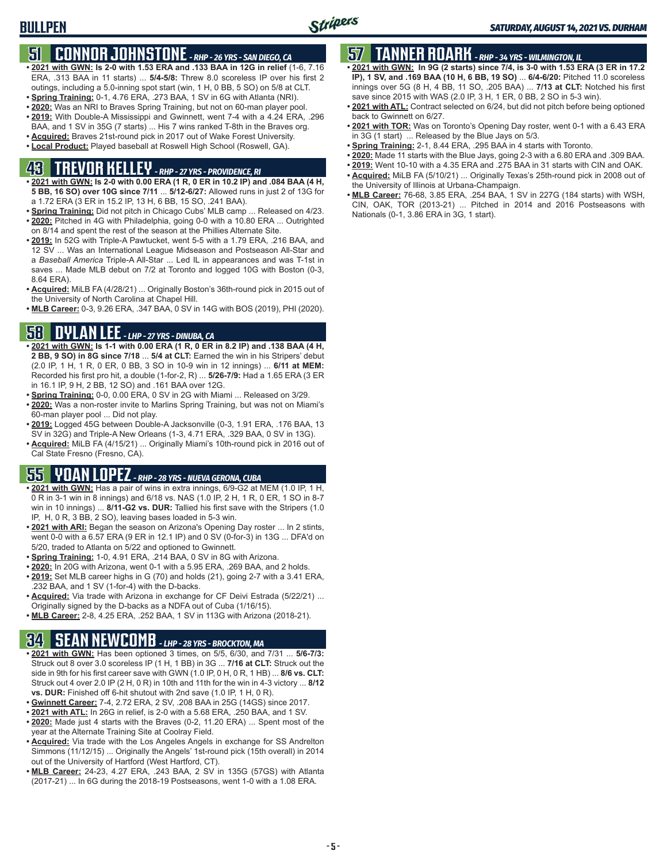### **51 CONNOR JOHNSTONE** *- RHP - 26 YRS - SAN DIEGO, CA*

- **• 2021 with GWN: Is 2-0 with 1.53 ERA and .133 BAA in 12G in relief** (1-6, 7.16 ERA, .313 BAA in 11 starts) ... **5/4-5/8:** Threw 8.0 scoreless IP over his first 2 outings, including a 5.0-inning spot start (win, 1 H, 0 BB, 5 SO) on 5/8 at CLT.
- **• Spring Training:** 0-1, 4.76 ERA, .273 BAA, 1 SV in 6G with Atlanta (NRI).
- **• 2020:** Was an NRI to Braves Spring Training, but not on 60-man player pool.
- **• 2019:** With Double-A Mississippi and Gwinnett, went 7-4 with a 4.24 ERA, .296 BAA, and 1 SV in 35G (7 starts) ... His 7 wins ranked T-8th in the Braves org.
- **• Acquired:** Braves 21st-round pick in 2017 out of Wake Forest University.
- **• Local Product:** Played baseball at Roswell High School (Roswell, GA).

# **43 TREVOR KELLEY** *- RHP - 27 YRS - PROVIDENCE, RI*

- **• 2021 with GWN: Is 2-0 with 0.00 ERA (1 R, 0 ER in 10.2 IP) and .084 BAA (4 H, 5 BB, 16 SO) over 10G since 7/11** ... **5/12-6/27:** Allowed runs in just 2 of 13G for a 1.72 ERA (3 ER in 15.2 IP, 13 H, 6 BB, 15 SO, .241 BAA).
- **• Spring Training:** Did not pitch in Chicago Cubs' MLB camp ... Released on 4/23. **• 2020:** Pitched in 4G with Philadelphia, going 0-0 with a 10.80 ERA ... Outrighted on 8/14 and spent the rest of the season at the Phillies Alternate Site.
- **• 2019:** In 52G with Triple-A Pawtucket, went 5-5 with a 1.79 ERA, .216 BAA, and 12 SV ... Was an International League Midseason and Postseason All-Star and a *Baseball America* Triple-A All-Star ... Led IL in appearances and was T-1st in saves ... Made MLB debut on 7/2 at Toronto and logged 10G with Boston (0-3, 8.64 ERA).
- **• Acquired:** MiLB FA (4/28/21) ... Originally Boston's 36th-round pick in 2015 out of the University of North Carolina at Chapel Hill.
- **• MLB Career:** 0-3, 9.26 ERA, .347 BAA, 0 SV in 14G with BOS (2019), PHI (2020).

### **58 DYLAN LEE** *- LHP - 27 YRS - DINUBA, CA*

- **• 2021 with GWN: Is 1-1 with 0.00 ERA (1 R, 0 ER in 8.2 IP) and .138 BAA (4 H, 2 BB, 9 SO) in 8G since 7/18** ... **5/4 at CLT:** Earned the win in his Stripers' debut (2.0 IP, 1 H, 1 R, 0 ER, 0 BB, 3 SO in 10-9 win in 12 innings) ... **6/11 at MEM:** Recorded his first pro hit, a double (1-for-2, R) ... **5/26-7/9:** Had a 1.65 ERA (3 ER in 16.1 IP, 9 H, 2 BB, 12 SO) and .161 BAA over 12G.
- **• Spring Training:** 0-0, 0.00 ERA, 0 SV in 2G with Miami ... Released on 3/29.
- **• 2020:** Was a non-roster invite to Marlins Spring Training, but was not on Miami's 60-man player pool ... Did not play.
- **• 2019:** Logged 45G between Double-A Jacksonville (0-3, 1.91 ERA, .176 BAA, 13 SV in 32G) and Triple-A New Orleans (1-3, 4.71 ERA, .329 BAA, 0 SV in 13G).
- **• Acquired:** MiLB FA (4/15/21) ... Originally Miami's 10th-round pick in 2016 out of Cal State Fresno (Fresno, CA).

# **55 YOAN LOPEZ** *- RHP - 28 YRS - NUEVA GERONA, CUBA*

- **• 2021 with GWN:** Has a pair of wins in extra innings, 6/9-G2 at MEM (1.0 IP, 1 H, 0 R in 3-1 win in 8 innings) and 6/18 vs. NAS (1.0 IP, 2 H, 1 R, 0 ER, 1 SO in 8-7 win in 10 innings) ... **8/11-G2 vs. DUR:** Tallied his first save with the Stripers (1.0 IP, H, 0 R, 3 BB, 2 SO), leaving bases loaded in 5-3 win.
- **• 2021 with ARI:** Began the season on Arizona's Opening Day roster ... In 2 stints, went 0-0 with a 6.57 ERA (9 ER in 12.1 IP) and 0 SV (0-for-3) in 13G ... DFA'd on 5/20, traded to Atlanta on 5/22 and optioned to Gwinnett.
- **• Spring Training:** 1-0, 4.91 ERA, .214 BAA, 0 SV in 8G with Arizona.
- **• 2020:** In 20G with Arizona, went 0-1 with a 5.95 ERA, .269 BAA, and 2 holds.
- **• 2019:** Set MLB career highs in G (70) and holds (21), going 2-7 with a 3.41 ERA, .232 BAA, and 1 SV (1-for-4) with the D-backs.
- **• Acquired:** Via trade with Arizona in exchange for CF Deivi Estrada (5/22/21) ... Originally signed by the D-backs as a NDFA out of Cuba (1/16/15).
- **• MLB Career:** 2-8, 4.25 ERA, .252 BAA, 1 SV in 113G with Arizona (2018-21).

## **34 SEAN NEWCOMB** *- LHP - 28 YRS - BROCKTON, MA*

- **• 2021 with GWN:** Has been optioned 3 times, on 5/5, 6/30, and 7/31 ... **5/6-7/3:** Struck out 8 over 3.0 scoreless IP (1 H, 1 BB) in 3G ... **7/16 at CLT:** Struck out the side in 9th for his first career save with GWN (1.0 IP, 0 H, 0 R, 1 HB) ... **8/6 vs. CLT:** Struck out 4 over 2.0 IP (2 H, 0 R) in 10th and 11th for the win in 4-3 victory ... **8/12 vs. DUR:** Finished off 6-hit shutout with 2nd save (1.0 IP, 1 H, 0 R).
- **• Gwinnett Career:** 7-4, 2.72 ERA, 2 SV, .208 BAA in 25G (14GS) since 2017.
- **• 2021 with ATL:** In 26G in relief, is 2-0 with a 5.68 ERA, .250 BAA, and 1 SV.
- **• 2020:** Made just 4 starts with the Braves (0-2, 11.20 ERA) ... Spent most of the year at the Alternate Training Site at Coolray Field.
- **• Acquired:** Via trade with the Los Angeles Angels in exchange for SS Andrelton Simmons (11/12/15) ... Originally the Angels' 1st-round pick (15th overall) in 2014 out of the University of Hartford (West Hartford, CT).
- **• MLB Career:** 24-23, 4.27 ERA, .243 BAA, 2 SV in 135G (57GS) with Atlanta (2017-21) ... In 6G during the 2018-19 Postseasons, went 1-0 with a 1.08 ERA.

# **57 TANNER ROARK** *- RHP - 34 YRS - WILMINGTON, IL*

- **• 2021 with GWN: In 9G (2 starts) since 7/4, is 3-0 with 1.53 ERA (3 ER in 17.2 IP), 1 SV, and .169 BAA (10 H, 6 BB, 19 SO)** ... **6/4-6/20:** Pitched 11.0 scoreless innings over 5G (8 H, 4 BB, 11 SO, .205 BAA) ... **7/13 at CLT:** Notched his first save since 2015 with WAS (2.0 IP, 3 H, 1 ER, 0 BB, 2 SO in 5-3 win).
- **• 2021 with ATL:** Contract selected on 6/24, but did not pitch before being optioned back to Gwinnett on 6/27.
- **• 2021 with TOR:** Was on Toronto's Opening Day roster, went 0-1 with a 6.43 ERA in 3G (1 start) ... Released by the Blue Jays on 5/3.
- **• Spring Training:** 2-1, 8.44 ERA, .295 BAA in 4 starts with Toronto.
- **• 2020:** Made 11 starts with the Blue Jays, going 2-3 with a 6.80 ERA and .309 BAA.
- **• 2019:** Went 10-10 with a 4.35 ERA and .275 BAA in 31 starts with CIN and OAK.
- **• Acquired:** MiLB FA (5/10/21) ... Originally Texas's 25th-round pick in 2008 out of the University of Illinois at Urbana-Champaign.
- **• MLB Career:** 76-68, 3.85 ERA, .254 BAA, 1 SV in 227G (184 starts) with WSH, CIN, OAK, TOR (2013-21) ... Pitched in 2014 and 2016 Postseasons with Nationals (0-1, 3.86 ERA in 3G, 1 start).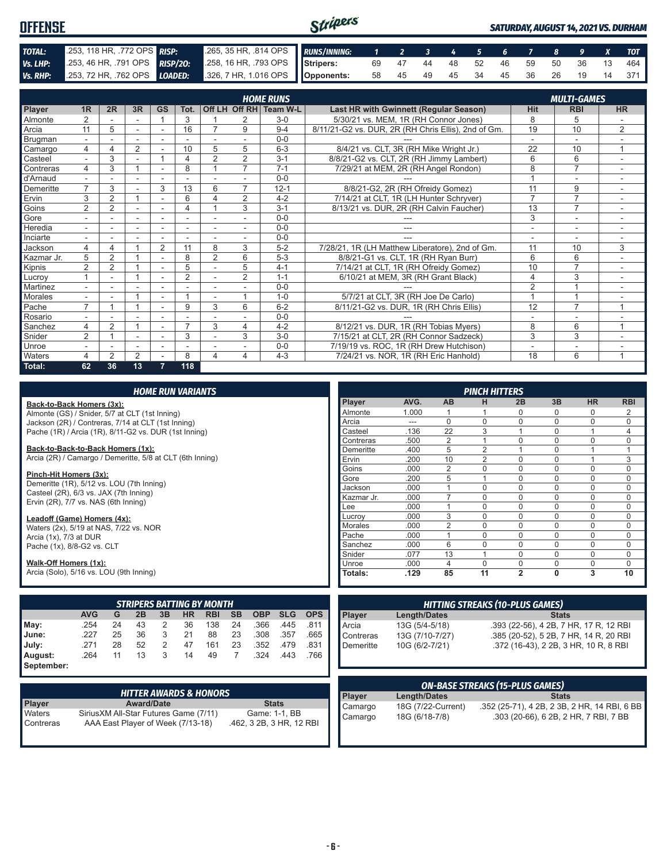| <b>OFFENSE</b> |                              |                                                                      | Stripers | <b>SATURDAY, AUGUST 14, 2021 VS. DURHAM</b> |                               |  |  |  |  |  |  |                                   |
|----------------|------------------------------|----------------------------------------------------------------------|----------|---------------------------------------------|-------------------------------|--|--|--|--|--|--|-----------------------------------|
|                |                              |                                                                      |          |                                             |                               |  |  |  |  |  |  |                                   |
| TOTAL:         | .253, 118 HR, .772 OPS RISP: | 265, 35 HR, 814 OPS RUNS/INNING: 1 2 3 4 5 6 7 8 9 X TOT             |          |                                             |                               |  |  |  |  |  |  |                                   |
| Vs. LHP:       | 253, 46 HR, 791 OPS RISP/20: | 258, 16 HR, 793 OPS Stripers:                                        |          |                                             |                               |  |  |  |  |  |  | 69 47 44 48 52 46 59 50 36 13 464 |
|                |                              | Vs. RHP: 253, 72 HR, 762 OPS LOADED: 326, 7 HR, 1.016 OPS Opponents: |          |                                             | 58 45 49 45 34 45 36 26 19 14 |  |  |  |  |  |  | - 371 I                           |

|            | <b>HOME RUNS</b><br><b>MULTI-GAMES</b> |                |                |                          |                |                          |                |                        |                                                     |                |                |                |
|------------|----------------------------------------|----------------|----------------|--------------------------|----------------|--------------------------|----------------|------------------------|-----------------------------------------------------|----------------|----------------|----------------|
| Player     | 1 <sub>R</sub>                         | 2R             | 3R             | GS                       | Tot.           |                          |                | Off LH Off RH Team W-L | Last HR with Gwinnett (Regular Season)              | <b>Hit</b>     | <b>RBI</b>     | <b>HR</b>      |
| Almonte    | $\overline{2}$                         |                | ۰              |                          | 3              |                          | 2              | $3-0$                  | 5/30/21 vs. MEM, 1R (RH Connor Jones)               | 8              | 5              |                |
| Arcia      | 11                                     | 5              |                | ۰                        | 16             | 7                        | 9              | $9 - 4$                | 8/11/21-G2 vs. DUR, 2R (RH Chris Ellis), 2nd of Gm. | 19             | 10             | $\overline{2}$ |
| Brugman    | $\sim$                                 |                | ٠              | $\overline{\phantom{a}}$ |                |                          | $\sim$         | $0 - 0$                |                                                     | $\sim$         | $\sim$         |                |
| Camargo    | 4                                      | 4              | 2              |                          | 10             | 5                        | 5              | $6 - 3$                | 8/4/21 vs. CLT, 3R (RH Mike Wright Jr.)             | 22             | 10             | $\mathbf{1}$   |
| Casteel    |                                        | 3              |                |                          | 4              | $\overline{2}$           | $\overline{2}$ | $3 - 1$                | 8/8/21-G2 vs. CLT, 2R (RH Jimmy Lambert)            | 6              | 6              |                |
| Contreras  | 4                                      | 3              |                | $\overline{a}$           | 8              |                          | $\overline{7}$ | $7 - 1$                | 7/29/21 at MEM, 2R (RH Angel Rondon)                | 8              | $\overline{7}$ |                |
| d'Arnaud   |                                        |                |                | $\overline{\phantom{a}}$ |                |                          |                | $0 - 0$                |                                                     |                | ۰              | ۰              |
| Demeritte  | $\overline{7}$                         | 3              |                | 3                        | 13             | 6                        | $\overline{7}$ | $12 - 1$               | 8/8/21-G2, 2R (RH Ofreidy Gomez)                    | 11             | 9              |                |
| Ervin      | 3                                      | 2              |                | $\overline{\phantom{a}}$ | 6              | $\Delta$                 | $\overline{2}$ | $4 - 2$                | 7/14/21 at CLT, 1R (LH Hunter Schryver)             | $\overline{7}$ | $\overline{7}$ | ٠              |
| Goins      | $\overline{2}$                         | $\overline{2}$ |                |                          | 4              |                          | 3              | $3 - 1$                | 8/13/21 vs. DUR, 2R (RH Calvin Faucher)             | 13             | $\overline{7}$ |                |
| Gore       |                                        |                | ٠              |                          |                |                          |                | $0 - 0$                |                                                     | 3              | $\overline{a}$ |                |
| Heredia    | $\sim$                                 |                | ٠              | ٠                        | ۰              |                          |                | $0 - 0$                |                                                     |                | ۰              |                |
| Inciarte   | $\overline{\phantom{0}}$               |                |                | $\overline{\phantom{a}}$ |                |                          |                | $0 - 0$                |                                                     | ٠              | ٠              |                |
| Jackson    | 4                                      | 4              |                | 2                        | 11             | 8                        | 3              | $5 - 2$                | 7/28/21, 1R (LH Matthew Liberatore), 2nd of Gm.     | 11             | 10             | 3              |
| Kazmar Jr. | 5                                      | $\overline{2}$ |                |                          | 8              | $\overline{2}$           | 6              | $5 - 3$                | 8/8/21-G1 vs. CLT, 1R (RH Ryan Burr)                | 6              | 6              |                |
| Kipnis     | $\overline{2}$                         | $\overline{2}$ |                | ٠                        | 5              |                          | 5              | $4 - 1$                | 7/14/21 at CLT, 1R (RH Ofreidy Gomez)               | 10             | $\overline{7}$ | $\sim$         |
| Lucroy     |                                        |                |                | ٠                        | $\overline{2}$ |                          | $\overline{2}$ | $1 - 1$                | 6/10/21 at MEM, 3R (RH Grant Black)                 | 4              | 3              | ٠              |
| Martinez   |                                        |                |                |                          |                |                          |                | $0 - 0$                |                                                     | $\overline{2}$ |                |                |
| Morales    | $\sim$                                 |                |                | ۰                        |                | $\overline{\phantom{a}}$ |                | $1 - 0$                | 5/7/21 at CLT, 3R (RH Joe De Carlo)                 |                |                | $\sim$         |
| Pache      | $\overline{7}$                         |                |                |                          | 9              | 3                        | 6              | $6 - 2$                | 8/11/21-G2 vs. DUR, 1R (RH Chris Ellis)             | 12             | $\overline{7}$ | $\overline{ }$ |
| Rosario    |                                        |                |                |                          |                |                          |                | $0 - 0$                |                                                     |                | ۰              |                |
| Sanchez    | 4                                      | $\overline{2}$ |                |                          | $\overline{ }$ | 3                        | 4              | $4 - 2$                | 8/12/21 vs. DUR, 1R (RH Tobias Myers)               | 8              | 6              | $\overline{ }$ |
| Snider     | $\overline{2}$                         |                |                | $\sim$                   | 3              |                          | 3              | $3-0$                  | 7/15/21 at CLT, 2R (RH Connor Sadzeck)              | 3              | 3              |                |
| Unroe      | $\overline{\phantom{a}}$               |                | ٠              | $\overline{\phantom{a}}$ | ٠              |                          |                | $0 - 0$                | 7/19/19 vs. ROC, 1R (RH Drew Hutchison)             | $\blacksquare$ | ۰              | ۰              |
| Waters     | 4                                      | $\overline{2}$ | $\overline{2}$ |                          | 8              | Δ                        | 4              | $4 - 3$                | 7/24/21 vs. NOR, 1R (RH Eric Hanhold)               | 18             | 6              |                |
| Total:     | 62                                     | 36             | 13             | 7                        | 118            |                          |                |                        |                                                     |                |                |                |

|                                                                  |                                                               |    |                   | <b>HOME RUN VARIANTS</b> |           |                                   |                |                |             |                |                          |                     |                 | <b>PINCH HITTERS</b> |                                        |              |                                              |                |
|------------------------------------------------------------------|---------------------------------------------------------------|----|-------------------|--------------------------|-----------|-----------------------------------|----------------|----------------|-------------|----------------|--------------------------|---------------------|-----------------|----------------------|----------------------------------------|--------------|----------------------------------------------|----------------|
| Back-to-Back Homers (3x):                                        |                                                               |    |                   |                          |           |                                   |                |                |             |                | Player                   | AVG.                | AB              | н                    | 2B                                     | 3B           | <b>HR</b>                                    | <b>RBI</b>     |
|                                                                  | Almonte (GS) / Snider, 5/7 at CLT (1st Inning)                |    |                   |                          |           |                                   |                |                |             | Almonte        | 1.000                    |                     |                 | 0                    | $\Omega$                               | 0            | 2                                            |                |
|                                                                  | Jackson (2R) / Contreras, 7/14 at CLT (1st Inning)            |    |                   |                          |           |                                   |                |                |             | Arcia          | $\overline{\phantom{a}}$ | $\Omega$            | $\Omega$        | $\Omega$             | $\mathbf{0}$                           | $\Omega$     | $\mathbf 0$                                  |                |
| Pache (1R) / Arcia (1R), 8/11-G2 vs. DUR (1st Inning)            |                                                               |    |                   |                          |           |                                   |                |                |             |                | Casteel                  | .136                | $\overline{22}$ | 3                    | 1                                      | $\Omega$     | 1                                            | $\overline{4}$ |
|                                                                  |                                                               |    |                   |                          |           |                                   |                |                |             |                | Contreras                | .500                | $\overline{2}$  |                      | $\Omega$                               | $\Omega$     | $\Omega$                                     | $\mathbf 0$    |
| Back-to-Back-to-Back Homers (1x):                                |                                                               |    |                   |                          |           |                                   |                |                |             |                | Demeritte                | .400                | 5               | 2                    | $\overline{1}$                         | $\Omega$     | 1                                            | $\mathbf{1}$   |
| Arcia (2R) / Camargo / Demeritte, 5/8 at CLT (6th Inning)        |                                                               |    |                   |                          |           |                                   |                |                |             |                | Ervin                    | .200                | 10              | $\overline{2}$       | $\mathbf 0$                            | $\Omega$     | $\overline{1}$                               | 3              |
| Pinch-Hit Homers (3x):                                           |                                                               |    |                   |                          |           |                                   |                |                |             |                | Goins                    | .000                | $\overline{2}$  | $\mathbf 0$          | $\mathbf 0$                            | 0            | 0                                            | $\mathbf 0$    |
| Demeritte (1R), 5/12 vs. LOU (7th Inning)                        |                                                               |    |                   |                          |           |                                   |                |                |             |                | Gore                     | .200                | 5               |                      | $\Omega$                               | $\Omega$     | 0                                            | $\mathbf 0$    |
| Casteel (2R), 6/3 vs. JAX (7th Inning)                           |                                                               |    |                   |                          |           |                                   |                |                |             |                | Jackson                  | .000                | $\mathbf{1}$    | $\Omega$             | $\Omega$                               | $\mathbf{0}$ | 0                                            | $\mathbf 0$    |
| Ervin (2R), 7/7 vs. NAS (6th Inning)                             |                                                               |    |                   |                          |           |                                   |                |                |             |                | Kazmar Jr.               | .000                | $\overline{7}$  | $\mathbf 0$          | $\mathbf 0$                            | $\Omega$     | 0                                            | $\mathbf 0$    |
|                                                                  |                                                               |    |                   |                          |           |                                   |                |                |             |                | Lee                      | .000                |                 | $\mathbf 0$          | $\mathbf 0$                            | $\mathbf{0}$ | 0                                            | $\mathbf 0$    |
| Leadoff (Game) Homers (4x):                                      |                                                               |    |                   |                          |           |                                   |                |                |             |                | Lucroy                   | .000                | 3               | $\Omega$             | $\Omega$                               | $\Omega$     | 0                                            | $\mathbf 0$    |
|                                                                  | Waters (2x), 5/19 at NAS, 7/22 vs. NOR                        |    |                   |                          |           |                                   |                | Morales        | .000        | $\overline{2}$ | $\mathbf 0$              | $\mathbf 0$         | $\Omega$        | 0                    | $\mathsf{O}\xspace$                    |              |                                              |                |
| Arcia (1x), 7/3 at DUR                                           |                                                               |    |                   |                          |           | Pache                             | .000           |                | $\mathbf 0$ | $\mathbf 0$    | $\Omega$                 | 0                   | $\mathbf 0$     |                      |                                        |              |                                              |                |
| Pache (1x), 8/8-G2 vs. CLT                                       |                                                               |    |                   |                          |           | Sanchez                           | .000           | 6              | $\Omega$    | $\Omega$       | $\Omega$                 | 0                   | $\mathbf 0$     |                      |                                        |              |                                              |                |
|                                                                  |                                                               |    |                   |                          |           | Snider                            | .077           | 13             |             | $\mathbf 0$    | $\Omega$                 | 0                   | 0               |                      |                                        |              |                                              |                |
| Walk-Off Homers (1x):<br>Arcia (Solo), 5/16 vs. LOU (9th Inning) |                                                               |    |                   |                          |           | Unroe                             | .000           | $\overline{4}$ | $\Omega$    | $\mathbf 0$    | $\Omega$                 | 0                   | $\mathbf 0$     |                      |                                        |              |                                              |                |
|                                                                  |                                                               |    |                   |                          |           |                                   |                |                |             |                | Totals:                  | .129                | 85              | 11                   | $\overline{2}$                         | 0            | 3                                            | 10             |
|                                                                  |                                                               |    |                   |                          |           |                                   |                |                |             |                |                          |                     |                 |                      |                                        |              |                                              |                |
|                                                                  |                                                               |    |                   |                          |           | <b>STRIPERS BATTING BY MONTH</b>  |                |                |             |                |                          |                     |                 |                      | <b>HITTING STREAKS (10-PLUS GAMES)</b> |              |                                              |                |
|                                                                  | <b>AVG</b>                                                    | G  | 2B                | 3B                       | <b>HR</b> | <b>RBI</b>                        | <b>SB</b>      | <b>OBP</b>     | <b>SLG</b>  | <b>OPS</b>     | Player                   | Length/Dates        |                 |                      |                                        | <b>Stats</b> |                                              |                |
| May:                                                             | .254                                                          | 24 | 43                | 2                        | 36        | 138                               | 24             | .366           | .445        | .811           | Arcia                    | 13G (5/4-5/18)      |                 |                      |                                        |              | .393 (22-56), 4 2B, 7 HR, 17 R, 12 RBI       |                |
| June:                                                            | .227                                                          | 25 | 36                | 3                        | 21        | 88                                | 23             | .308           | .357        | .665           | Contreras                | 13G (7/10-7/27)     |                 |                      |                                        |              | .385 (20-52), 5 2B, 7 HR, 14 R, 20 RBI       |                |
| July:                                                            | .271                                                          | 28 | 52                | 2                        | 47        | 161                               | 23             | .352           | .479        | .831           | Demeritte                | 10G (6/2-7/21)      |                 |                      |                                        |              | .372 (16-43), 2 2B, 3 HR, 10 R, 8 RBI        |                |
| August:                                                          | .264                                                          | 11 | 13                | 3                        | 14        | 49                                | $\overline{7}$ | .324           | .443        | .766           |                          |                     |                 |                      |                                        |              |                                              |                |
| September:                                                       |                                                               |    |                   |                          |           |                                   |                |                |             |                |                          |                     |                 |                      |                                        |              |                                              |                |
|                                                                  |                                                               |    |                   |                          |           |                                   |                |                |             |                |                          |                     |                 |                      |                                        |              |                                              |                |
|                                                                  |                                                               |    |                   |                          |           |                                   |                |                |             |                |                          |                     |                 |                      | <b>ON-BASE STREAKS (15-PLUS GAMES)</b> |              |                                              |                |
|                                                                  |                                                               |    |                   |                          |           | <b>HITTER AWARDS &amp; HONORS</b> |                |                |             |                | Player                   | <b>Length/Dates</b> |                 |                      |                                        | <b>Stats</b> |                                              |                |
| Player                                                           |                                                               |    | <b>Award/Date</b> |                          |           |                                   |                | <b>Stats</b>   |             |                | Camargo                  | 18G (7/22-Current)  |                 |                      |                                        |              | .352 (25-71), 4 2B, 2 3B, 2 HR, 14 RBI, 6 BB |                |
| Waters                                                           | Sirius XM All-Star Futures Game (7/11)                        |    |                   |                          |           |                                   |                | Game: 1-1, BB  |             |                | Camargo                  | 18G (6/18-7/8)      |                 |                      |                                        |              | .303 (20-66), 6 2B, 2 HR, 7 RBI, 7 BB        |                |
| Contreras                                                        | AAA East Player of Week (7/13-18)<br>.462, 3 2B, 3 HR, 12 RBI |    |                   |                          |           |                                   |                |                |             |                |                          |                     |                 |                      |                                        |              |                                              |                |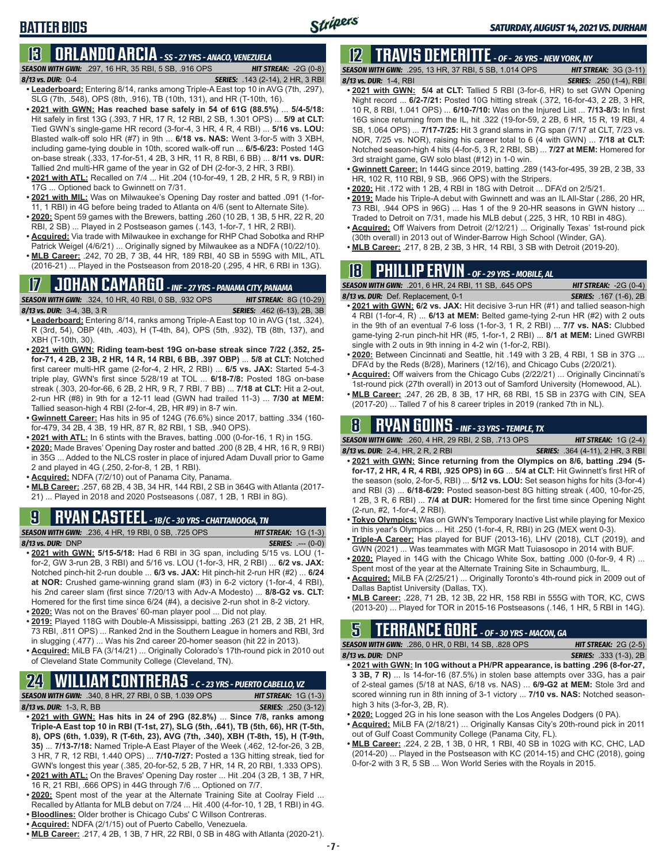### **BATTER BIOS**

## **13 ORLANDO ARCIA** *- SS - 27 YRS - ANACO, VENEZUELA*

*SEASON WITH GWN:*.297, 16 HR, 35 RBI, 5 SB, .916 OPS *HIT STREAK:* -2G (0-8) *8/13 vs. DUR:*0-4 *SERIES:* .143 (2-14), 2 HR, 3 RBI

- **• Leaderboard:** Entering 8/14, ranks among Triple-A East top 10 in AVG (7th, .297), SLG (7th, .548), OPS (8th, .916), TB (10th, 131), and HR (T-10th, 16).
- **• 2021 with GWN: Has reached base safely in 54 of 61G (88.5%)** ... **5/4-5/18:**  Hit safely in first 13G (.393, 7 HR, 17 R, 12 RBI, 2 SB, 1.301 OPS) ... **5/9 at CLT:** Tied GWN's single-game HR record (3-for-4, 3 HR, 4 R, 4 RBI) ... **5/16 vs. LOU:** Blasted walk-off solo HR (#7) in 9th ... **6/18 vs. NAS:** Went 3-for-5 with 3 XBH, including game-tying double in 10th, scored walk-off run ... **6/5-6/23:** Posted 14G on-base streak (.333, 17-for-51, 4 2B, 3 HR, 11 R, 8 RBI, 6 BB) ... **8/11 vs. DUR:** Tallied 2nd multi-HR game of the year in G2 of DH (2-for-3, 2 HR, 3 RBI).
- **• 2021 with ATL:** Recalled on 7/4 ... Hit .204 (10-for-49, 1 2B, 2 HR, 5 R, 9 RBI) in 17G ... Optioned back to Gwinnett on 7/31.
- **• 2021 with MIL:** Was on Milwaukee's Opening Day roster and batted .091 (1-for-11, 1 RBI) in 4G before being traded to Atlanta on 4/6 (sent to Alternate Site).
- **• 2020:** Spent 59 games with the Brewers, batting .260 (10 2B, 1 3B, 5 HR, 22 R, 20 RBI, 2 SB) ... Played in 2 Postseason games (.143, 1-for-7, 1 HR, 2 RBI).
- **• Acquired:** Via trade with Milwaukee in exchange for RHP Chad Sobotka and RHP Patrick Weigel (4/6/21) ... Originally signed by Milwaukee as a NDFA (10/22/10).
- **• MLB Career:** .242, 70 2B, 7 3B, 44 HR, 189 RBI, 40 SB in 559G with MIL, ATL (2016-21) ... Played in the Postseason from 2018-20 (.295, 4 HR, 6 RBI in 13G).

### **17 JOHAN CAMARGO** *- INF - 27 YRS - PANAMA CITY, PANAMA*

*SEASON WITH GWN:*.324, 10 HR, 40 RBI, 0 SB, .932 OPS *HIT STREAK:* 8G (10-29)

*8/13 vs. DUR:* 3-4, 3B, 3 R *SERIES:* .462 (6-13), 2B, 3B

- **• Leaderboard:** Entering 8/14, ranks among Triple-A East top 10 in AVG (1st, .324), R (3rd, 54), OBP (4th, .403), H (T-4th, 84), OPS (5th, .932), TB (8th, 137), and XBH (T-10th, 30).
- **• 2021 with GWN: Riding team-best 19G on-base streak since 7/22 (.352, 25 for-71, 4 2B, 2 3B, 2 HR, 14 R, 14 RBI, 6 BB, .397 OBP)** ... **5/8 at CLT:** Notched first career multi-HR game (2-for-4, 2 HR, 2 RBI) ... **6/5 vs. JAX:** Started 5-4-3 triple play, GWN's first since 5/28/19 at TOL ... **6/18-7/8:** Posted 18G on-base streak (.303, 20-for-66, 6 2B, 2 HR, 9 R, 7 RBI, 7 BB) ... **7/18 at CLT:** Hit a 2-out, 2-run HR (#8) in 9th for a 12-11 lead (GWN had trailed 11-3) ... **7/30 at MEM:** Tallied season-high 4 RBI (2-for-4, 2B, HR #9) in 8-7 win.
- **• Gwinnett Career:** Has hits in 95 of 124G (76.6%) since 2017, batting .334 (160 for-479, 34 2B, 4 3B, 19 HR, 87 R, 82 RBI, 1 SB, .940 OPS).
- **• 2021 with ATL:** In 6 stints with the Braves, batting .000 (0-for-16, 1 R) in 15G.
- **• 2020:** Made Braves' Opening Day roster and batted .200 (8 2B, 4 HR, 16 R, 9 RBI) in 35G ... Added to the NLCS roster in place of injured Adam Duvall prior to Game 2 and played in 4G (.250, 2-for-8, 1 2B, 1 RBI).
- **• Acquired:** NDFA (7/2/10) out of Panama City, Panama.
- **• MLB Career:** .257, 68 2B, 4 3B, 34 HR, 144 RBI, 2 SB in 364G with Atlanta (2017- 21) ... Played in 2018 and 2020 Postseasons (.087, 1 2B, 1 RBI in 8G).

### **9 RYAN CASTEEL** *- 1B/C - 30 YRS - CHATTANOOGA, TN*

*SEASON WITH GWN:*.236, 4 HR, 19 RBI, 0 SB, .725 OPS *HIT STREAK:* 1G (1-3) *8/13 vs. DUR:*DNP *SERIES:* .--- (0-0)

- **• 2021 with GWN: 5/15-5/18:** Had 6 RBI in 3G span, including 5/15 vs. LOU (1 for-2, GW 3-run 2B, 3 RBI) and 5/16 vs. LOU (1-for-3, HR, 2 RBI) ... **6/2 vs. JAX:** Notched pinch-hit 2-run double ... **6/3 vs. JAX:** Hit pinch-hit 2-run HR (#2) ... **6/24 at NOR:** Crushed game-winning grand slam (#3) in 6-2 victory (1-for-4, 4 RBI), his 2nd career slam (first since 7/20/13 with Adv-A Modesto) ... **8/8-G2 vs. CLT:** Homered for the first time since 6/24 (#4), a decisive 2-run shot in 8-2 victory.
- **• 2020:** Was not on the Braves' 60-man player pool ... Did not play.
- **• 2019:** Played 118G with Double-A Mississippi, batting .263 (21 2B, 2 3B, 21 HR, 73 RBI, .811 OPS) ... Ranked 2nd in the Southern League in homers and RBI, 3rd in slugging (.477) ... Was his 2nd career 20-homer season (hit 22 in 2013).
- **• Acquired:** MiLB FA (3/14/21) ... Originally Colorado's 17th-round pick in 2010 out of Cleveland State Community College (Cleveland, TN).

### **24 WILLIAM CONTRERAS** *- C - 23 YRS - PUERTO CABELLO, VZ*

*SEASON WITH GWN:*.340, 8 HR, 27 RBI, 0 SB, 1.039 OPS *HIT STREAK:* 1G (1-3)

- *8/13 vs. DUR:* 1-3, R, BB *SERIES:* .250 (3-12) **• 2021 with GWN: Has hits in 24 of 29G (82.8%)** ... **Since 7/8, ranks among Triple-A East top 10 in RBI (T-1st, 27), SLG (5th, .641), TB (5th, 66), HR (T-5th, 8), OPS (6th, 1.039), R (T-6th, 23), AVG (7th, .340), XBH (T-8th, 15), H (T-9th, 35)** ... **7/13-7/18:** Named Triple-A East Player of the Week (.462, 12-for-26, 3 2B, 3 HR, 7 R, 12 RBI, 1.440 OPS) ... **7/10-7/27:** Posted a 13G hitting streak, tied for GWN's longest this year (.385, 20-for-52, 5 2B, 7 HR, 14 R, 20 RBI, 1.333 OPS). **• 2021 with ATL:** On the Braves' Opening Day roster ... Hit .204 (3 2B, 1 3B, 7 HR,
- 16 R, 21 RBI, .666 OPS) in 44G through 7/6 ... Optioned on 7/7.
- **• 2020:** Spent most of the year at the Alternate Training Site at Coolray Field ... Recalled by Atlanta for MLB debut on 7/24 ... Hit .400 (4-for-10, 1 2B, 1 RBI) in 4G.
- **• Bloodlines:** Older brother is Chicago Cubs' C Willson Contreras.
- **• Acquired:** NDFA (2/1/15) out of Puerto Cabello, Venezuela.
- **• MLB Career:** .217, 4 2B, 1 3B, 7 HR, 22 RBI, 0 SB in 48G with Atlanta (2020-21).

# **12 TRAVIS DEMERITTE** *- OF - 26 YRS - NEW YORK, NY*

*SEASON WITH GWN:*.295, 13 HR, 37 RBI, 5 SB, 1.014 OPS *HIT STREAK:* 3G (3-11) *8/13 vs. DUR:*1-4, RBI *SERIES:* .250 (1-4), RBI

- **• 2021 with GWN: 5/4 at CLT:** Tallied 5 RBI (3-for-6, HR) to set GWN Opening Night record ... **6/2-7/21:** Posted 10G hitting streak (.372, 16-for-43, 2 2B, 3 HR, 10 R, 8 RBI, 1.041 OPS) ... **6/10-7/10:** Was on the Injured List ... **7/13-8/3:** In first 16G since returning from the IL, hit .322 (19-for-59, 2 2B, 6 HR, 15 R, 19 RBI, 4 SB, 1.064 OPS) ... **7/17-7/25:** Hit 3 grand slams in 7G span (7/17 at CLT, 7/23 vs. NOR, 7/25 vs. NOR), raising his career total to 6 (4 with GWN) ... **7/18 at CLT:** Notched season-high 4 hits (4-for-5, 3 R, 2 RBI, SB) ... **7/27 at MEM:** Homered for 3rd straight game, GW solo blast (#12) in 1-0 win.
- **• Gwinnett Career:** In 144G since 2019, batting .289 (143-for-495, 39 2B, 2 3B, 33 HR, 102 R, 110 RBI, 9 SB, .966 OPS) with the Stripers.
- **• 2020:** Hit .172 with 1 2B, 4 RBI in 18G with Detroit ... DFA'd on 2/5/21.
- **• 2019:** Made his Triple-A debut with Gwinnett and was an IL All-Star (.286, 20 HR, 73 RBI, .944 OPS in 96G) ... Has 1 of the 9 20-HR seasons in GWN history ... Traded to Detroit on 7/31, made his MLB debut (.225, 3 HR, 10 RBI in 48G).
- **• Acquired:** Off Waivers from Detroit (2/12/21) ... Originally Texas' 1st-round pick (30th overall) in 2013 out of Winder-Barrow High School (Winder, GA).
- **• MLB Career:** .217, 8 2B, 2 3B, 3 HR, 14 RBI, 3 SB with Detroit (2019-20).

# **18 PHILLIP ERVIN** *- OF - 29 YRS - MOBILE, AL*

*SEASON WITH GWN:*.201, 6 HR, 24 RBI, 11 SB, .645 OPS *HIT STREAK:* -2G (0-4) *8/13 vs. DUR:*Def. Replacement, 0-1 *SERIES:* .167 (1-6), 2B

- **• 2021 with GWN: 6/2 vs. JAX:** Hit decisive 3-run HR (#1) and tallied season-high 4 RBI (1-for-4, R) ... **6/13 at MEM:** Belted game-tying 2-run HR (#2) with 2 outs in the 9th of an eventual 7-6 loss (1-for-3, 1 R, 2 RBI) ... **7/7 vs. NAS:** Clubbed game-tying 2-run pinch-hit HR (#5, 1-for-1, 2 RBI) ... **8/1 at MEM:** Lined GWRBI single with 2 outs in 9th inning in 4-2 win (1-for-2, RBI).
- **• 2020:** Between Cincinnati and Seattle, hit .149 with 3 2B, 4 RBI, 1 SB in 37G ... DFA'd by the Reds (8/28), Mariners (12/16), and Chicago Cubs (2/20/21).
- **• Acquired:** Off waivers from the Chicago Cubs (2/22/21) ... Originally Cincinnati's 1st-round pick (27th overall) in 2013 out of Samford University (Homewood, AL).
- **• MLB Career:** .247, 26 2B, 8 3B, 17 HR, 68 RBI, 15 SB in 237G with CIN, SEA (2017-20) ... Talled 7 of his 8 career triples in 2019 (ranked 7th in NL).

## **8 RYAN GOINS** *- INF - 33 YRS - TEMPLE, TX*

*SEASON WITH GWN:*.260, 4 HR, 29 RBI, 2 SB, .713 OPS *HIT STREAK:* 1G (2-4) *8/13 vs. DUR:*2-4, HR, 2 R, 2 RBI *SERIES:* .364 (4-11), 2 HR, 3 RBI

- **• 2021 with GWN: Since returning from the Olympics on 8/6, batting .294 (5 for-17, 2 HR, 4 R, 4 RBI, .925 OPS) in 6G** ... **5/4 at CLT:** Hit Gwinnett's first HR of the season (solo, 2-for-5, RBI) ... **5/12 vs. LOU:** Set season highs for hits (3-for-4) and RBI (3) ... **6/18-6/29:** Posted season-best 8G hitting streak (.400, 10-for-25, 1 2B, 3 R, 6 RBI) ... **7/4 at DUR:** Homered for the first time since Opening Night (2-run, #2, 1-for-4, 2 RBI).
- **• Tokyo Olympics:** Was on GWN's Temporary Inactive List while playing for Mexico in this year's Olympics ... Hit .250 (1-for-4, R, RBI) in 2G (MEX went 0-3).
- **• Triple-A Career:** Has played for BUF (2013-16), LHV (2018), CLT (2019), and GWN (2021) ... Was teammates with MGR Matt Tuiasosopo in 2014 with BUF.
- **• 2020:** Played in 14G with the Chicago White Sox, batting .000 (0-for-9, 4 R) ... Spent most of the year at the Alternate Training Site in Schaumburg, IL.
- **• Acquired:** MiLB FA (2/25/21) ... Originally Toronto's 4th-round pick in 2009 out of Dallas Baptist University (Dallas, TX).
- **• MLB Career:** .228, 71 2B, 12 3B, 22 HR, 158 RBI in 555G with TOR, KC, CWS (2013-20) ... Played for TOR in 2015-16 Postseasons (.146, 1 HR, 5 RBI in 14G).

# **5 TERRANCE GORE** *- OF - 30 YRS - MACON, GA*

*SEASON WITH GWN:*.286, 0 HR, 0 RBI, 14 SB, .828 OPS *HIT STREAK:* 2G (2-5) *8/13 vs. DUR:*DNP *SERIES:* .333 (1-3), 2B

- **• 2021 with GWN: In 10G without a PH/PR appearance, is batting .296 (8-for-27, 3 3B, 7 R)** ... Is 14-for-16 (87.5%) in stolen base attempts over 33G, has a pair of 2-steal games (5/18 at NAS, 6/18 vs. NAS) ... **6/9-G2 at MEM:** Stole 3rd and scored winning run in 8th inning of 3-1 victory ... **7/10 vs. NAS:** Notched seasonhigh 3 hits (3-for-3, 2B, R).
- **• 2020:** Logged 2G in his lone season with the Los Angeles Dodgers (0 PA).
- **• Acquired:** MiLB FA (2/18/21) ... Originally Kansas City's 20th-round pick in 2011 out of Gulf Coast Community College (Panama City, FL).
- **• MLB Career:** .224, 2 2B, 1 3B, 0 HR, 1 RBI, 40 SB in 102G with KC, CHC, LAD (2014-20) ... Played in the Postseason with KC (2014-15) and CHC (2018), going 0-for-2 with 3 R, 5 SB ... Won World Series with the Royals in 2015.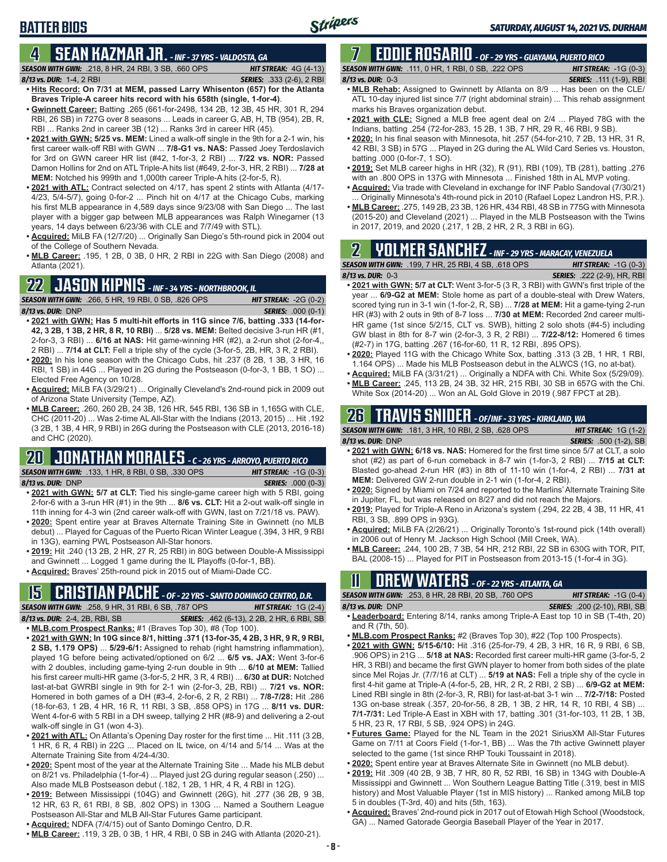# **BATTER BIOS**

### **4 SEAN KAZMAR JR.** *- INF - 37 YRS - VALDOSTA, GA*

*SEASON WITH GWN:*.218, 8 HR, 24 RBI, 3 SB, .660 OPS *HIT STREAK:* 4G (4-13) *8/13 vs. DUR:*1-4, 2 RBI *SERIES:* .333 (2-6), 2 RBI

- **• Hits Record: On 7/31 at MEM, passed Larry Whisenton (657) for the Atlanta Braves Triple-A career hits record with his 658th (single, 1-for-4)**. **• Gwinnett Career:** Batting .265 (661-for-2498, 134 2B, 12 3B, 45 HR, 301 R, 294
- RBI, 26 SB) in 727G over 8 seasons ... Leads in career G, AB, H, TB (954), 2B, R, RBI ... Ranks 2nd in career 3B (12) ... Ranks 3rd in career HR (45).
- **• 2021 with GWN: 5/25 vs. MEM:** Lined a walk-off single in the 9th for a 2-1 win, his first career walk-off RBI with GWN ... **7/8-G1 vs. NAS:** Passed Joey Terdoslavich for 3rd on GWN career HR list (#42, 1-for-3, 2 RBI) ... **7/22 vs. NOR:** Passed Damon Hollins for 2nd on ATL Triple-A hits list (#649, 2-for-3, HR, 2 RBI) ... **7/28 at MEM:** Notched his 999th and 1,000th career Triple-A hits (2-for-5, R).
- **• 2021 with ATL:** Contract selected on 4/17, has spent 2 stints with Atlanta (4/17- 4/23, 5/4-5/7), going 0-for-2 ... Pinch hit on 4/17 at the Chicago Cubs, marking his first MLB appearance in 4,589 days since 9/23/08 with San Diego ... The last player with a bigger gap between MLB appearances was Ralph Winegarner (13 years, 14 days between 6/23/36 with CLE and 7/7/49 with STL).
- **• Acquired:** MiLB FA (12/7/20) ... Originally San Diego's 5th-round pick in 2004 out of the College of Southern Nevada.
- **• MLB Career:** .195, 1 2B, 0 3B, 0 HR, 2 RBI in 22G with San Diego (2008) and Atlanta (2021).

### **22 JASON KIPNIS** *- INF - 34 YRS - NORTHBROOK, IL*

*SEASON WITH GWN:*.266, 5 HR, 19 RBI, 0 SB, .826 OPS *HIT STREAK:* -2G (0-2) *8/13 vs. DUR:*DNP *SERIES:* .000 (0-1)

- **• 2021 with GWN: Has 5 multi-hit efforts in 11G since 7/6, batting .333 (14-for-42, 3 2B, 1 3B, 2 HR, 8 R, 10 RBI)** ... **5/28 vs. MEM:** Belted decisive 3-run HR (#1, 2-for-3, 3 RBI) ... **6/16 at NAS:** Hit game-winning HR (#2), a 2-run shot (2-for-4,, 2 RBI) ... **7/14 at CLT:** Fell a triple shy of the cycle (3-for-5, 2B, HR, 3 R, 2 RBI).
- **• 2020:** In his lone season with the Chicago Cubs, hit .237 (8 2B, 1 3B, 3 HR, 16 RBI, 1 SB) in 44G ... Played in 2G during the Postseason (0-for-3, 1 BB, 1 SO) ... Elected Free Agency on 10/28.
- **• Acquired:** MiLB FA (3/29/21) ... Originally Cleveland's 2nd-round pick in 2009 out of Arizona State University (Tempe, AZ).
- **• MLB Career:** .260, 260 2B, 24 3B, 126 HR, 545 RBI, 136 SB in 1,165G with CLE, CHC (2011-20) ... Was 2-time AL All-Star with the Indians (2013, 2015) ... Hit .192 (3 2B, 1 3B, 4 HR, 9 RBI) in 26G during the Postseason with CLE (2013, 2016-18) and CHC (2020).

# **20 JONATHAN MORALES** *- C - 26 YRS - ARROYO, PUERTO RICO*

*SEASON WITH GWN:*.133, 1 HR, 8 RBI, 0 SB, .330 OPS *HIT STREAK:* -1G (0-3)

*8/13 vs. DUR:*DNP *SERIES:* .000 (0-3)

- **• 2021 with GWN: 5/7 at CLT:** Tied his single-game career high with 5 RBI, going 2-for-6 with a 3-run HR (#1) in the 9th ... **8/6 vs. CLT:** Hit a 2-out walk-off single in 11th inning for 4-3 win (2nd career walk-off with GWN, last on 7/21/18 vs. PAW).
- **• 2020:** Spent entire year at Braves Alternate Training Site in Gwinnett (no MLB debut) ... Played for Caguas of the Puerto Rican Winter League (.394, 3 HR, 9 RBI in 13G), earning PWL Postseason All-Star honors.
- **• 2019:** Hit .240 (13 2B, 2 HR, 27 R, 25 RBI) in 80G between Double-A Mississippi and Gwinnett ... Logged 1 game during the IL Playoffs (0-for-1, BB).
- **• Acquired:** Braves' 25th-round pick in 2015 out of Miami-Dade CC.

# **15 CRISTIAN PACHE** *- OF - 22 YRS - SANTO DOMINGO CENTRO, D.R.*

*SEASON WITH GWN:*.258, 9 HR, 31 RBI, 6 SB, .787 OPS *HIT STREAK:* 1G (2-4) *8/13 vs. DUR:* 2-4, 2B, RBI, SB *SERIES:* .462 (6-13), 2 2B, 2 HR, 6 RBI, SB **• MLB.com Prospect Ranks:** #1 (Braves Top 30), #8 (Top 100).

- **• 2021 with GWN: In 10G since 8/1, hitting .371 (13-for-35, 4 2B, 3 HR, 9 R, 9 RBI, 2 SB, 1.179 OPS)** ... **5/29-6/1:** Assigned to rehab (right hamstring inflammation), played 1G before being activated/optioned on 6/2 ... **6/5 vs. JAX:** Went 3-for-6 with 2 doubles, including game-tying 2-run double in 9th ... **6/10 at MEM:** Tallied his first career multi-HR game (3-for-5, 2 HR, 3 R, 4 RBI) ... **6/30 at DUR:** Notched last-at-bat GWRBI single in 9th for 2-1 win (2-for-3, 2B, RBI) ... **7/21 vs. NOR:** Homered in both games of a DH (#3-4, 2-for-6, 2 R, 2 RBI) ... **7/8-7/28:** Hit .286 (18-for-63, 1 2B, 4 HR, 16 R, 11 RBI, 3 SB, .858 OPS) in 17G ... **8/11 vs. DUR:** Went 4-for-6 with 5 RBI in a DH sweep, tallying 2 HR (#8-9) and delivering a 2-out walk-off single in G1 (won 4-3).
- **• 2021 with ATL:** On Atlanta's Opening Day roster for the first time ... Hit .111 (3 2B, 1 HR, 6 R, 4 RBI) in 22G ... Placed on IL twice, on 4/14 and 5/14 ... Was at the Alternate Training Site from 4/24-4/30.
- **• 2020:** Spent most of the year at the Alternate Training Site ... Made his MLB debut on 8/21 vs. Philadelphia (1-for-4) ... Played just 2G during regular season (.250) ... Also made MLB Postseason debut (.182, 1 2B, 1 HR, 4 R, 4 RBI in 12G).
- **• 2019:** Between Mississippi (104G) and Gwinnett (26G), hit .277 (36 2B, 9 3B, 12 HR, 63 R, 61 RBI, 8 SB, .802 OPS) in 130G ... Named a Southern League Postseason All-Star and MLB All-Star Futures Game participant.
- **• Acquired:** NDFA (7/4/15) out of Santo Domingo Centro, D.R.
- **• MLB Career:** .119, 3 2B, 0 3B, 1 HR, 4 RBI, 0 SB in 24G with Atlanta (2020-21).

#### **7 EDDIE ROSARIO** *- OF - 29 YRS - GUAYAMA, PUERTO RICO SEASON WITH GWN:*.111, 0 HR, 1 RBI, 0 SB, .222 OPS *HIT STREAK:* -1G (0-3)

- *8/13 vs. DUR:* 0-3 *SERIES:* .111 (1-9), RBI **• MLB Rehab:** Assigned to Gwinnett by Atlanta on 8/9 ... Has been on the CLE/ ATL 10-day injured list since 7/7 (right abdominal strain) ... This rehab assignment marks his Braves organization debut.
- **• 2021 with CLE:** Signed a MLB free agent deal on 2/4 ... Played 78G with the Indians, batting .254 (72-for-283, 15 2B, 1 3B, 7 HR, 29 R, 46 RBI, 9 SB).
- **• 2020:** In his final season with Minnesota, hit .257 (54-for-210, 7 2B, 13 HR, 31 R, 42 RBI, 3 SB) in 57G ... Played in 2G during the AL Wild Card Series vs. Houston, batting .000 (0-for-7, 1 SO).
- **• 2019:** Set MLB career highs in HR (32), R (91), RBI (109), TB (281), batting .276 with an .800 OPS in 137G with Minnesota ... Finished 18th in AL MVP voting.
- **• Acquired:** Via trade with Cleveland in exchange for INF Pablo Sandoval (7/30/21) Originally Minnesota's 4th-round pick in 2010 (Rafael Lopez Landron HS, P.R.).
- **• MLB Career:** .275, 149 2B, 23 3B, 126 HR, 434 RBI, 48 SB in 775G with Minnesota (2015-20) and Cleveland (2021) ... Played in the MLB Postseason with the Twins in 2017, 2019, and 2020 (.217, 1 2B, 2 HR, 2 R, 3 RBI in 6G).

# **2 YOLMER SANCHEZ** *- INF - 29 YRS - MARACAY, VENEZUELA*

#### *SEASON WITH GWN:*.199, 7 HR, 25 RBI, 4 SB, .618 OPS *HIT STREAK:* -1G (0-3) *8/13 vs. DUR:*0-3 *SERIES:* .222 (2-9), HR, RBI

- **• 2021 with GWN: 5/7 at CLT:** Went 3-for-5 (3 R, 3 RBI) with GWN's first triple of the year ... **6/9-G2 at MEM:** Stole home as part of a double-steal with Drew Waters, scored tying run in 3-1 win (1-for-2, R, SB) ... **7/28 at MEM:** Hit a game-tying 2-run HR (#3) with 2 outs in 9th of 8-7 loss ... **7/30 at MEM:** Recorded 2nd career multi-HR game (1st since 5/2/15, CLT vs. SWB), hitting 2 solo shots (#4-5) including GW blast in 8th for 8-7 win (2-for-3, 3 R, 2 RBI) ... **7/22-8/12:** Homered 6 times (#2-7) in 17G, batting .267 (16-for-60, 11 R, 12 RBI, .895 OPS).
- **• 2020:** Played 11G with the Chicago White Sox, batting .313 (3 2B, 1 HR, 1 RBI, 1.164 OPS) ... Made his MLB Postseason debut in the ALWCS (1G, no at-bat).
- **• Acquired:** MiLB FA (3/31/21) ... Originally a NDFA with Chi. White Sox (5/29/09).
- **• MLB Career:** .245, 113 2B, 24 3B, 32 HR, 215 RBI, 30 SB in 657G with the Chi. White Sox (2014-20) ... Won an AL Gold Glove in 2019 (.987 FPCT at 2B).

# **26 TRAVIS SNIDER** *- OF/INF - 33 YRS - KIRKLAND, WA*

| <b>SEASON WITH GWN: .181, 3 HR, 10 RBI, 2 SB, .628 OPS</b>                         | <b>HIT STREAK:</b> $1G(1-2)$  |
|------------------------------------------------------------------------------------|-------------------------------|
| 8/13 vs. DUR: DNP                                                                  | <b>SERIES:</b> .500 (1-2), SB |
| • 2021 with GWN: 6/18 vs. NAS: Homered for the first time since 5/7 at CLT, a solo |                               |
|                                                                                    |                               |

- shot (#2) as part of 6-run comeback in 8-7 win (1-for-3, 2 RBI) ... **7/15 at CLT:** Blasted go-ahead 2-run HR (#3) in 8th of 11-10 win (1-for-4, 2 RBI) ... **7/31 at MEM:** Delivered GW 2-run double in 2-1 win (1-for-4, 2 RBI).
- **• 2020:** Signed by Miami on 7/24 and reported to the Marlins' Alternate Training Site in Jupiter, FL, but was released on 8/27 and did not reach the Majors.
- **• 2019:** Played for Triple-A Reno in Arizona's system (.294, 22 2B, 4 3B, 11 HR, 41 RBI, 3 SB, .899 OPS in 93G).
- **• Acquired:** MiLB FA (2/26/21) ... Originally Toronto's 1st-round pick (14th overall) in 2006 out of Henry M. Jackson High School (Mill Creek, WA).
- **• MLB Career:** .244, 100 2B, 7 3B, 54 HR, 212 RBI, 22 SB in 630G with TOR, PIT, BAL (2008-15) ... Played for PIT in Postseason from 2013-15 (1-for-4 in 3G).

# **11 Drew WATERS** *- OF - 22 YRS - ATLANTA, GA*

*SEASON WITH GWN:*.253, 8 HR, 28 RBI, 20 SB, .760 OPS *HIT STREAK:* -1G (0-4) *8/13 vs. DUR:*DNP *SERIES:* .200 (2-10), RBI, SB

- **• Leaderboard:** Entering 8/14, ranks among Triple-A East top 10 in SB (T-4th, 20) and R (7th, 50).
- **• MLB.com Prospect Ranks:** #2 (Braves Top 30), #22 (Top 100 Prospects).
- **• 2021 with GWN: 5/15-6/10:** Hit .316 (25-for-79, 4 2B, 3 HR, 16 R, 9 RBI, 6 SB, .906 OPS) in 21G ... **5/18 at NAS:** Recorded first career multi-HR game (3-for-5, 2 HR, 3 RBI) and became the first GWN player to homer from both sides of the plate since Mel Rojas Jr. (7/7/16 at CLT) ... **5/19 at NAS:** Fell a triple shy of the cycle in first 4-hit game at Triple-A (4-for-5, 2B, HR, 2 R, 2 RBI, 2 SB) ... **6/9-G2 at MEM:** Lined RBI single in 8th (2-for-3, R, RBI) for last-at-bat 3-1 win ... **7/2-7/18:** Posted 13G on-base streak (.357, 20-for-56, 8 2B, 1 3B, 2 HR, 14 R, 10 RBI, 4 SB) ... **7/1-7/31:** Led Triple-A East in XBH with 17, batting .301 (31-for-103, 11 2B, 1 3B, 5 HR, 23 R, 17 RBI, 5 SB, .924 OPS) in 24G.
- **• Futures Game:** Played for the NL Team in the 2021 SiriusXM All-Star Futures Game on 7/11 at Coors Field (1-for-1, BB) ... Was the 7th active Gwinnett player selected to the game (1st since RHP Touki Toussaint in 2018).
- **• 2020:** Spent entire year at Braves Alternate Site in Gwinnett (no MLB debut).
- **• 2019:** Hit .309 (40 2B, 9 3B, 7 HR, 80 R, 52 RBI, 16 SB) in 134G with Double-A Mississippi and Gwinnett ... Won Southern League Batting Title (.319, best in MIS history) and Most Valuable Player (1st in MIS history) ... Ranked among MiLB top 5 in doubles (T-3rd, 40) and hits (5th, 163).
- **• Acquired:** Braves' 2nd-round pick in 2017 out of Etowah High School (Woodstock, GA) ... Named Gatorade Georgia Baseball Player of the Year in 2017.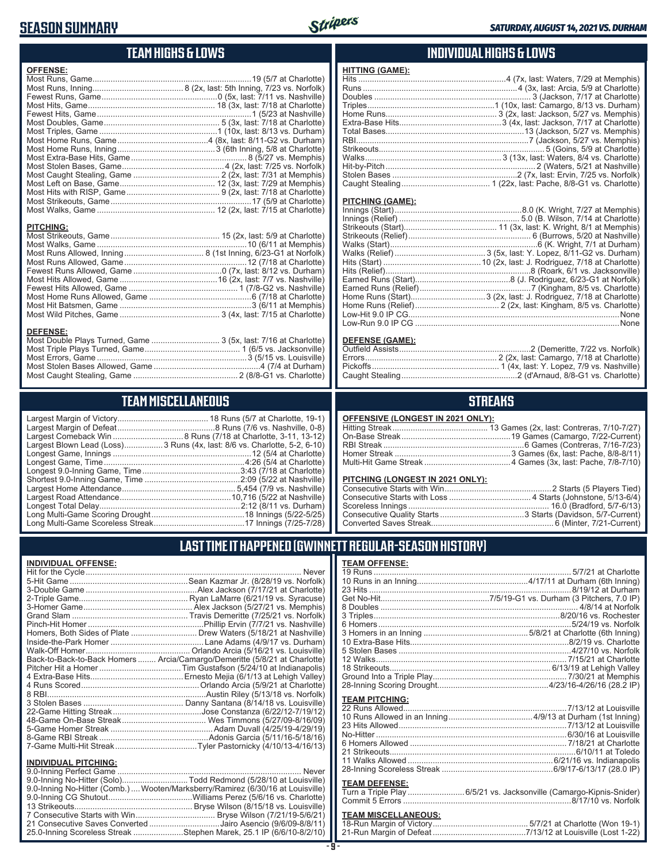### **SEASON SUMMARY**



### **TEAM HIGHS & LOWS**

| <b>OFFENSE:</b>                                                 |  |
|-----------------------------------------------------------------|--|
|                                                                 |  |
|                                                                 |  |
|                                                                 |  |
|                                                                 |  |
|                                                                 |  |
|                                                                 |  |
|                                                                 |  |
|                                                                 |  |
|                                                                 |  |
|                                                                 |  |
|                                                                 |  |
|                                                                 |  |
|                                                                 |  |
|                                                                 |  |
|                                                                 |  |
|                                                                 |  |
|                                                                 |  |
|                                                                 |  |
| <b>PITCHING:</b>                                                |  |
|                                                                 |  |
|                                                                 |  |
|                                                                 |  |
|                                                                 |  |
|                                                                 |  |
|                                                                 |  |
|                                                                 |  |
|                                                                 |  |
|                                                                 |  |
|                                                                 |  |
|                                                                 |  |
| <b>DEFENSE:</b>                                                 |  |
| Most Double Plays Turned, Game  3 (5x, last: 7/16 at Charlotte) |  |
|                                                                 |  |

Most Errors, Game ..................................................................3 (5/15 vs. Louisville) Most Stolen Bases Allowed, Game ...............................................4 (7/4 at Durham) Most Caught Stealing, Game .............................................. 2 (8/8-G1 vs. Charlotte)

#### **TEAM MISCELLANEOUS**

| Largest Blown Lead (Loss)3 Runs (4x, last: 8/6 vs. Charlotte, 5-2, 6-10) |
|--------------------------------------------------------------------------|
|                                                                          |
|                                                                          |
|                                                                          |
|                                                                          |
|                                                                          |
|                                                                          |
|                                                                          |
|                                                                          |
|                                                                          |

#### **INDIVIDUAL HIGHS & LOWS**

| <b>HITTING (GAME):</b> |                                                                   |
|------------------------|-------------------------------------------------------------------|
|                        | Hits ……………………………………………………………4 (7x, last: Waters, 7/29 at Memphis) |
|                        |                                                                   |
|                        |                                                                   |
|                        |                                                                   |
|                        |                                                                   |
|                        |                                                                   |
|                        |                                                                   |
|                        |                                                                   |
|                        |                                                                   |
|                        |                                                                   |
|                        |                                                                   |
|                        |                                                                   |
|                        |                                                                   |
|                        |                                                                   |

#### **PITCHING (GAME):**

#### **DEFENSE (GAME):**

#### **STREAKS**

#### **OFFENSIVE (LONGEST IN 2021 ONLY):**

#### **PITCHING (LONGEST IN 2021 ONLY):**

#### **LAST TIME IT HAPPENED (GWINNETT REGULAR-SEASON HISTORY)**

| <b>INDIVIDUAL OFFENSE:</b>                            |                                                                            |
|-------------------------------------------------------|----------------------------------------------------------------------------|
|                                                       |                                                                            |
|                                                       |                                                                            |
|                                                       |                                                                            |
|                                                       |                                                                            |
|                                                       |                                                                            |
|                                                       |                                                                            |
|                                                       |                                                                            |
|                                                       | Homers, Both Sides of Plate  Drew Waters (5/18/21 at Nashville)            |
|                                                       |                                                                            |
|                                                       |                                                                            |
|                                                       | Back-to-Back-to-Back Homers  Arcia/Camargo/Demeritte (5/8/21 at Charlotte) |
|                                                       |                                                                            |
|                                                       |                                                                            |
|                                                       |                                                                            |
|                                                       |                                                                            |
|                                                       |                                                                            |
|                                                       |                                                                            |
|                                                       |                                                                            |
|                                                       |                                                                            |
|                                                       |                                                                            |
|                                                       |                                                                            |
| <b>INDIVIDUAL PITCHING:</b><br>00 Inning Dorfoot Comp |                                                                            |
|                                                       | ممیده ۱۸                                                                   |

| 9.0-Inning No-Hitter (Solo)Todd Redmond (5/28/10 at Louisville)                 |  |
|---------------------------------------------------------------------------------|--|
| 9.0-Inning No-Hitter (Comb.)  Wooten/Marksberry/Ramirez (6/30/16 at Louisville) |  |
|                                                                                 |  |
|                                                                                 |  |
|                                                                                 |  |
| 21 Consecutive Saves Converted Jairo Asencio (9/6/09-8/8/11)                    |  |
| 25.0-Inning Scoreless Streak Stephen Marek, 25.1 IP (6/6/10-8/2/10)             |  |
|                                                                                 |  |

#### **TEAM OFFENSE:**

| <b>TEAM PITCHING:</b> |  |
|-----------------------|--|
|                       |  |
|                       |  |
|                       |  |
|                       |  |
|                       |  |
|                       |  |
|                       |  |
|                       |  |

#### **TEAM DEFENSE:**

| Turn a Triple Play 6/5/21 vs. Jacksonville (Camargo-Kipnis-Snider) |
|--------------------------------------------------------------------|
|                                                                    |

| <b>TEAM MISCELLANEOUS:</b> |  |
|----------------------------|--|
|                            |  |
|                            |  |